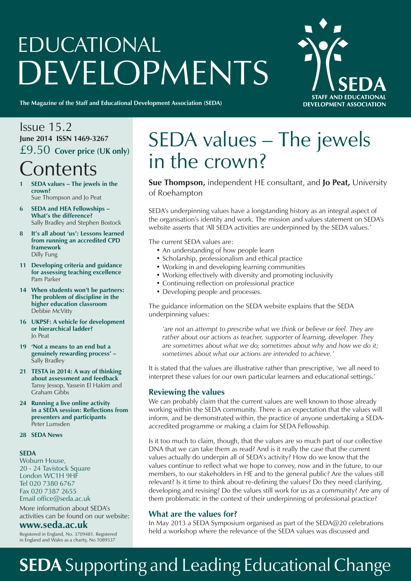# EDUCATIONAL DEVELOPMENTS



**The Magazine of the Staff and Educational Development Association (SEDA)**

# Issue 15.2 **June 2014 ISSN 1469-3267** £9.50 **Cover price (UK only) Contents**

- **1 SEDA values The jewels in the crown?** Sue Thompson and Jo Peat
- **6 SEDA and HEA Fellowships What's the difference?** Sally Bradley and Stephen Bostock
- **8 It's all about 'us': Lessons learned from running an accredited CPD framework** Dilly Fung
- **11 Developing criteria and guidance for assessing teaching excellence** Pam Parker
- **14 When students won't be partners: The problem of discipline in the higher education classroom** Debbie McVitty
- **16 UKPSF: A vehicle for development or hierarchical ladder?** Jo Peat
- **19 'Not a means to an end but a genuinely rewarding process' –** Sally Bradley
- **21 TESTA in 2014: A way of thinking about assessment and feedback** Tansy Jessop, Yassein El Hakim and Graham Gibbs
- **24 Running a live online activity in a SEDA session: Reflections from presenters and participants** Peter Lumsden
- **28 SEDA News**

### **SEDA**

Woburn House, 20 - 24 Tavistock Square London WC1H 9HF Tel 020 7380 6767 Fax 020 7387 2655 Email office@seda.ac.uk

More information about SEDA's activities can be found on our website:

### **www.seda.ac.uk**

Registered in England, No. 3709481. Registered in England and Wales as a charity, No.1089537

# SEDA values – The jewels in the crown?

**Sue Thompson,** independent HE consultant, and **Jo Peat,** University of Roehampton

SEDA's underpinning values have a longstanding history as an integral aspect of the organisation's identity and work. The mission and values statement on SEDA's website asserts that 'All SEDA activities are underpinned by the SEDA values.'

The current SEDA values are:

- An understanding of how people learn
- • Scholarship, professionalism and ethical practice
- Working in and developing learning communities
- Working effectively with diversity and promoting inclusivity
- Continuing reflection on professional practice
- Developing people and processes.

The guidance information on the SEDA website explains that the SEDA underpinning values:

*'are not an attempt to prescribe what we think or believe or feel. They are rather about our actions as teacher, supporter of learning, developer. They are sometimes about what we do; sometimes about why and how we do it; sometimes about what our actions are intended to achieve.'*

It is stated that the values are illustrative rather than prescriptive, 'we all need to interpret these values for our own particular learners and educational settings.'

### **Reviewing the values**

We can probably claim that the current values are well known to those already working within the SEDA community. There is an expectation that the values will inform, and be demonstrated within, the practice of anyone undertaking a SEDAaccredited programme or making a claim for SEDA Fellowship.

Is it too much to claim, though, that the values are so much part of our collective DNA that we can take them as read? And is it really the case that the current values actually do underpin all of SEDA's activity? How do we know that the values continue to reflect what we hope to convey, now and in the future, to our members, to our stakeholders in HE and to the general public? Are the values still relevant? Is it time to think about re-defining the values? Do they need clarifying, developing and revising? Do the values still work for us as a community? Are any of them problematic in the context of their underpinning of professional practice?

### **What are the values for?**

In May 2013 a SEDA Symposium organised as part of the SEDA@20 celebrations held a workshop where the relevance of the SEDA values was discussed and

# **SEDA** Supporting and Leading Educational Change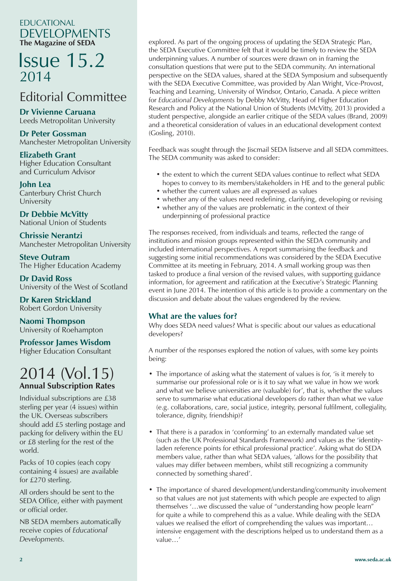## EDUCATIONAL DEVELOPMENTS **The Magazine of SEDA**

# Issue 15.2 2014

# Editorial Committee

**Dr Vivienne Caruana** Leeds Metropolitan University

**Dr Peter Gossman** Manchester Metropolitan University

**Elizabeth Grant** Higher Education Consultant and Curriculum Advisor

**John Lea** Canterbury Christ Church University

**Dr Debbie McVitty** National Union of Students

**Chrissie Nerantzi** Manchester Metropolitan University

**Steve Outram** The Higher Education Academy

**Dr David Ross** University of the West of Scotland

**Dr Karen Strickland** Robert Gordon University

**Naomi Thompson** University of Roehampton

# **Professor James Wisdom**

Higher Education Consultant

# 2014 (Vol.15) **Annual Subscription Rates**

Individual subscriptions are £38 sterling per year (4 issues) within the UK. Overseas subscribers should add £5 sterling postage and packing for delivery within the EU or £8 sterling for the rest of the world.

Packs of 10 copies (each copy containing 4 issues) are available for £270 sterling.

All orders should be sent to the SEDA Office, either with payment or official order.

NB SEDA members automatically receive copies of *Educational Developments.*

explored. As part of the ongoing process of updating the SEDA Strategic Plan, the SEDA Executive Committee felt that it would be timely to review the SEDA underpinning values. A number of sources were drawn on in framing the consultation questions that were put to the SEDA community. An international perspective on the SEDA values, shared at the SEDA Symposium and subsequently with the SEDA Executive Committee, was provided by Alan Wright, Vice-Provost, Teaching and Learning, University of Windsor, Ontario, Canada. A piece written for *Educational Developments* by Debby McVitty, Head of Higher Education Research and Policy at the National Union of Students (McVitty, 2013) provided a student perspective, alongside an earlier critique of the SEDA values (Brand, 2009) and a theoretical consideration of values in an educational development context (Gosling, 2010).

Feedback was sought through the Jiscmail SEDA listserve and all SEDA committees. The SEDA community was asked to consider:

- the extent to which the current SEDA values continue to reflect what SEDA hopes to convey to its members/stakeholders in HE and to the general public
- whether the current values are all expressed as values
- whether any of the values need redefining, clarifying, developing or revising
- whether any of the values are problematic in the context of their underpinning of professional practice

The responses received, from individuals and teams, reflected the range of institutions and mission groups represented within the SEDA community and included international perspectives. A report summarising the feedback and suggesting some initial recommendations was considered by the SEDA Executive Committee at its meeting in February, 2014. A small working group was then tasked to produce a final version of the revised values, with supporting guidance information, for agreement and ratification at the Executive's Strategic Planning event in June 2014. The intention of this article is to provide a commentary on the discussion and debate about the values engendered by the review.

## **What are the values for?**

Why does SEDA need values? What is specific about our values as educational developers?

A number of the responses explored the notion of values, with some key points being:

- The importance of asking what the statement of values is for, 'is it merely to summarise our professional role or is it to say what we value in how we work and what we believe universities are (valuable) for', that is, whether the values serve to summarise what educational developers *do* rather than what we *value* (e.g. collaborations, care, social justice, integrity, personal fulfilment, collegiality, tolerance, dignity, friendship)?
- That there is a paradox in 'conforming' to an externally mandated value set (such as the UK Professional Standards Framework) and values as the 'identityladen reference points for ethical professional practice'. Asking what do SEDA members value, rather than what SEDA values, 'allows for the possibility that values may differ between members, whilst still recognizing a community connected by something shared'.
- The importance of shared development/understanding/community involvement so that values are not just statements with which people are expected to align themselves '…we discussed the value of "understanding how people learn" for quite a while to comprehend this as a value. While dealing with the SEDA values we realised the effort of comprehending the values was important… intensive engagement with the descriptions helped us to understand them as a value…'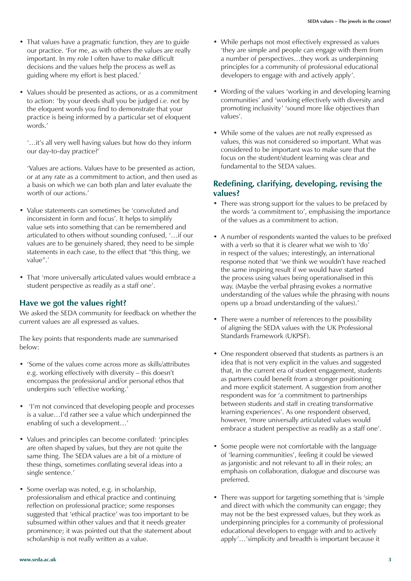- That values have a pragmatic function, they are to guide our practice. 'For me, as with others the values are really important. In my role I often have to make difficult decisions and the values help the process as well as guiding where my effort is best placed.'
- Values should be presented as actions, or as a commitment to action: 'by your deeds shall you be judged *i.e.* not by the eloquent words you find to demonstrate that your practice is being informed by a particular set of eloquent words.'

'…it's all very well having values but how do they inform our day-to-day practice?'

'Values are actions. Values have to be presented as action, or at any rate as a commitment to action, and then used as a basis on which we can both plan and later evaluate the worth of our actions.'

- Value statements can sometimes be 'convoluted and inconsistent in form and focus'. It helps to simplify value sets into something that can be remembered and articulated to others without sounding confused, '…if our values are to be genuinely shared, they need to be simple statements in each case, to the effect that "this thing, we value".'
- That 'more universally articulated values would embrace a student perspective as readily as a staff one'.

### **Have we got the values right?**

We asked the SEDA community for feedback on whether the current values are all expressed as values.

The key points that respondents made are summarised below:

- 'Some of the values come across more as skills/attributes e.g. working effectively with diversity – this doesn't encompass the professional and/or personal ethos that underpins such 'effective working.'
- I'm not convinced that developing people and processes is a value…I'd rather see a value which underpinned the enabling of such a development…'
- Values and principles can become conflated: 'principles' are often shaped by values, but they are not quite the same thing. The SEDA values are a bit of a mixture of these things, sometimes conflating several ideas into a single sentence.'
- Some overlap was noted, e.g. in scholarship, professionalism and ethical practice and continuing reflection on professional practice; some responses suggested that 'ethical practice' was too important to be subsumed within other values and that it needs greater prominence; it was pointed out that the statement about scholarship is not really written as a value.
- While perhaps not most effectively expressed as values 'they are simple and people can engage with them from a number of perspectives…they work as underpinning principles for a community of professional educational developers to engage with and actively apply'.
- Wording of the values 'working in and developing learning communities' and 'working effectively with diversity and promoting inclusivity' 'sound more like objectives than values'.
- While some of the values are not really expressed as values, this was not considered so important. What was considered to be important was to make sure that the focus on the student/student learning was clear and fundamental to the SEDA values.

### **Redefining, clarifying, developing, revising the values?**

- There was strong support for the values to be prefaced by the words 'a commitment to', emphasising the importance of the values as a commitment to action.
- A number of respondents wanted the values to be prefixed with a verb so that it is clearer what we wish to 'do' in respect of the values; interestingly, an international response noted that 'we think we wouldn't have reached the same inspiring result if we would have started the process using values being operationalised in this way. (Maybe the verbal phrasing evokes a normative understanding of the values while the phrasing with nouns opens up a broad understanding of the values).'
- There were a number of references to the possibility of aligning the SEDA values with the UK Professional Standards Framework (UKPSF).
- One respondent observed that students as partners is an idea that is not very explicit in the values and suggested that, in the current era of student engagement, students as partners could benefit from a stronger positioning and more explicit statement. A suggestion from another respondent was for 'a commitment to partnerships between students and staff in creating transformative learning experiences'. As one respondent observed, however, 'more universally articulated values would embrace a student perspective as readily as a staff one'.
- Some people were not comfortable with the language of 'learning communities', feeling it could be viewed as jargonistic and not relevant to all in their roles; an emphasis on collaboration, dialogue and discourse was preferred.
- There was support for targeting something that is 'simple and direct with which the community can engage; they may not be the best expressed values, but they work as underpinning principles for a community of professional educational developers to engage with and to actively apply'…'simplicity and breadth is important because it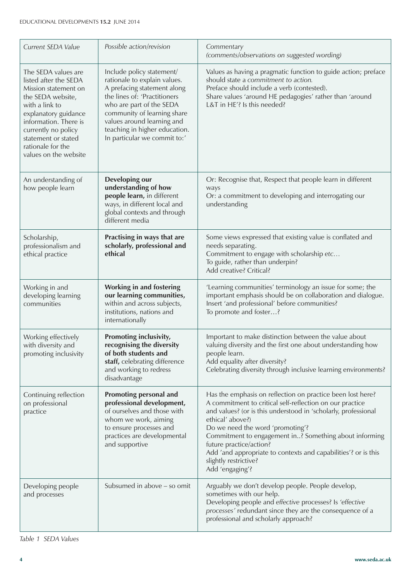| Current SEDA Value                                                                                                                                                                                                                                       | Possible action/revision                                                                                                                                                                                                                                                           | Commentary<br>(comments/observations on suggested wording)                                                                                                                                                                                                                                                                                                                                                                                          |
|----------------------------------------------------------------------------------------------------------------------------------------------------------------------------------------------------------------------------------------------------------|------------------------------------------------------------------------------------------------------------------------------------------------------------------------------------------------------------------------------------------------------------------------------------|-----------------------------------------------------------------------------------------------------------------------------------------------------------------------------------------------------------------------------------------------------------------------------------------------------------------------------------------------------------------------------------------------------------------------------------------------------|
| The SEDA values are<br>listed after the SEDA<br>Mission statement on<br>the SEDA website,<br>with a link to<br>explanatory guidance<br>information. There is<br>currently no policy<br>statement or stated<br>rationale for the<br>values on the website | Include policy statement/<br>rationale to explain values.<br>A prefacing statement along<br>the lines of: 'Practitioners<br>who are part of the SEDA<br>community of learning share<br>values around learning and<br>teaching in higher education.<br>In particular we commit to:' | Values as having a pragmatic function to guide action; preface<br>should state a commitment to action.<br>Preface should include a verb (contested).<br>Share values 'around HE pedagogies' rather than 'around<br>L&T in HE'? Is this needed?                                                                                                                                                                                                      |
| An understanding of<br>how people learn                                                                                                                                                                                                                  | Developing our<br>understanding of how<br>people learn, in different<br>ways, in different local and<br>global contexts and through<br>different media                                                                                                                             | Or: Recognise that, Respect that people learn in different<br>ways<br>Or: a commitment to developing and interrogating our<br>understanding                                                                                                                                                                                                                                                                                                         |
| Scholarship,<br>professionalism and<br>ethical practice                                                                                                                                                                                                  | Practising in ways that are<br>scholarly, professional and<br>ethical                                                                                                                                                                                                              | Some views expressed that existing value is conflated and<br>needs separating.<br>Commitment to engage with scholarship etc<br>To guide, rather than underpin?<br>Add creative? Critical?                                                                                                                                                                                                                                                           |
| Working in and<br>developing learning<br>communities                                                                                                                                                                                                     | <b>Working in and fostering</b><br>our learning communities,<br>within and across subjects,<br>institutions, nations and<br>internationally                                                                                                                                        | 'Learning communities' terminology an issue for some; the<br>important emphasis should be on collaboration and dialogue.<br>Insert 'and professional' before communities?<br>To promote and foster?                                                                                                                                                                                                                                                 |
| Working effectively<br>with diversity and<br>promoting inclusivity                                                                                                                                                                                       | Promoting inclusivity,<br>recognising the diversity<br>of both students and<br>staff, celebrating difference<br>and working to redress<br>disadvantage                                                                                                                             | Important to make distinction between the value about<br>valuing diversity and the first one about understanding how<br>people learn.<br>Add equality after diversity?<br>Celebrating diversity through inclusive learning environments?                                                                                                                                                                                                            |
| Continuing reflection<br>on professional<br>practice                                                                                                                                                                                                     | <b>Promoting personal and</b><br>professional development,<br>of ourselves and those with<br>whom we work, aiming<br>to ensure processes and<br>practices are developmental<br>and supportive                                                                                      | Has the emphasis on reflection on practice been lost here?<br>A commitment to critical self-reflection on our practice<br>and values? (or is this understood in 'scholarly, professional<br>ethical' above?)<br>Do we need the word 'promoting'?<br>Commitment to engagement in? Something about informing<br>future practice/action?<br>Add 'and appropriate to contexts and capabilities'? or is this<br>slightly restrictive?<br>Add 'engaging'? |
| Developing people<br>and processes                                                                                                                                                                                                                       | Subsumed in above - so omit                                                                                                                                                                                                                                                        | Arguably we don't develop people. People develop,<br>sometimes with our help.<br>Developing people and effective processes? Is 'effective<br>processes' redundant since they are the consequence of a<br>professional and scholarly approach?                                                                                                                                                                                                       |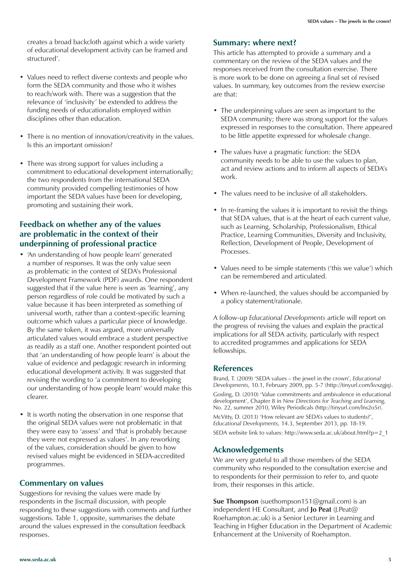creates a broad backcloth against which a wide variety of educational development activity can be framed and structured'.

- Values need to reflect diverse contexts and people who form the SEDA community and those who it wishes to reach/work with. There was a suggestion that the relevance of 'inclusivity' be extended to address the funding needs of educationalists employed within disciplines other than education.
- There is no mention of innovation/creativity in the values. Is this an important omission?
- There was strong support for values including a commitment to educational development internationally; the two respondents from the international SEDA community provided compelling testimonies of how important the SEDA values have been for developing, promoting and sustaining their work.

### **Feedback on whether any of the values are problematic in the context of their underpinning of professional practice**

- 'An understanding of how people learn' generated a number of responses. It was the only value seen as problematic in the context of SEDA's Professional Development Framework (PDF) awards. One respondent suggested that if the value here is seen as 'learning', any person regardless of role could be motivated by such a value because it has been interpreted as something of universal worth, rather than a context-specific learning outcome which values a particular piece of knowledge. By the same token, it was argued, more universally articulated values would embrace a student perspective as readily as a staff one. Another respondent pointed out that 'an understanding of how people learn' is about the value of evidence and pedagogic research in informing educational development activity. It was suggested that revising the wording to 'a commitment to developing our understanding of how people learn' would make this clearer.
- It is worth noting the observation in one response that the original SEDA values were not problematic in that they were easy to 'assess' and 'that is probably because they were not expressed as values'. In any reworking of the values, consideration should be given to how revised values might be evidenced in SEDA-accredited programmes.

### **Commentary on values**

Suggestions for revising the values were made by respondents in the Jiscmail discussion, with people responding to these suggestions with comments and further suggestions. Table 1, opposite, summarises the debate around the values expressed in the consultation feedback responses.

#### **Summary: where next?**

This article has attempted to provide a summary and a commentary on the review of the SEDA values and the responses received from the consultation exercise. There is more work to be done on agreeing a final set of revised values. In summary, key outcomes from the review exercise are that:

- The underpinning values are seen as important to the SEDA community; there was strong support for the values expressed in responses to the consultation. There appeared to be little appetite expressed for wholesale change.
- The values have a pragmatic function: the SEDA community needs to be able to use the values to plan, act and review actions and to inform all aspects of SEDA's work.
- The values need to be inclusive of all stakeholders.
- In re-framing the values it is important to revisit the things that SEDA values, that is at the heart of each current value, such as Learning, Scholarship, Professionalism, Ethical Practice, Learning Communities, Diversity and Inclusivity, Reflection, Development of People, Development of Processes.
- Values need to be simple statements ('this we value') which can be remembered and articulated.
- When re-launched, the values should be accompanied by a policy statement/rationale.

A follow-up *Educational Developments* article will report on the progress of revising the values and explain the practical implications for all SEDA activity, particularly with respect to accredited programmes and applications for SEDA fellowships.

### **References**

Brand, T. (2009) 'SEDA values – the jewel in the crown', *Educational Developments,* 10.1, February 2009, pp. 5-7 (http://tinyurl.com/kvxzgjq). Gosling, D. (2010) 'Value commitments and ambivalence in educational development', Chapter 8 in *New Directions for Teaching and Learning,* No. 22, summer 2010, Wiley Periodicals (http://tinyurl.com/lns2o5r).

McVitty, D. (2013) 'How relevant are SEDA's values to students?', *Educational Developments,* 14.3, September 2013, pp. 18-19.

SEDA website link to values: http://www.seda.ac.uk/about.html?p=2\_1

### **Acknowledgements**

We are very grateful to all those members of the SEDA community who responded to the consultation exercise and to respondents for their permission to refer to, and quote from, their responses in this article.

**Sue Thompson** (suethompson151@gmail.com) is an independent HE Consultant, and **Jo Peat** (J.Peat@ Roehampton.ac.uk) is a Senior Lecturer in Learning and Teaching in Higher Education in the Department of Academic Enhancement at the University of Roehampton.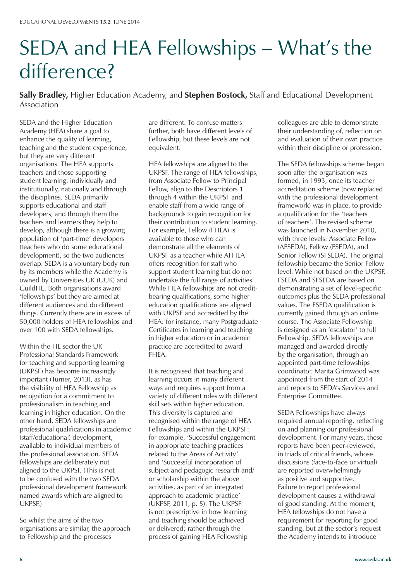# SEDA and HEA Fellowships – What's the difference?

**Sally Bradley,** Higher Education Academy, and **Stephen Bostock,** Staff and Educational Development Association

SEDA and the Higher Education Academy (HEA) share a goal to enhance the quality of learning, teaching and the student experience, but they are very different organisations. The HEA supports teachers and those supporting student learning, individually and institutionally, nationally and through the disciplines. SEDA primarily supports educational and staff developers, and through them the teachers and learners they help to develop, although there is a growing population of 'part-time' developers (teachers who do some educational development), so the two audiences overlap. SEDA is a voluntary body run by its members while the Academy is owned by Universities UK (UUK) and GuildHE. Both organisations award 'fellowships' but they are aimed at different audiences and do different things. Currently there are in excess of 50,000 holders of HEA fellowships and over 100 with SEDA fellowships.

Within the HE sector the UK Professional Standards Framework for teaching and supporting learning (UKPSF) has become increasingly important (Turner, 2013), as has the visibility of HEA Fellowship as recognition for a commitment to professionalism in teaching and learning in higher education. On the other hand, SEDA fellowships are professional qualifications in academic (staff/educational) development, available to individual members of the professional association. SEDA fellowships are deliberately not aligned to the UKPSF. (This is not to be confused with the two SEDA professional development framework named awards which *are* aligned to UKPSF.)

So whilst the aims of the two organisations are similar, the approach to Fellowship and the processes

are different. To confuse matters further, both have different levels of Fellowship, but these levels are not equivalent.

HEA fellowships are aligned to the UKPSF. The range of HEA fellowships, from Associate Fellow to Principal Fellow, align to the Descriptors 1 through 4 within the UKPSF and enable staff from a wide range of backgrounds to gain recognition for their contribution to student learning. For example, Fellow (FHEA) is available to those who can demonstrate all the elements of UKPSF as a teacher while AFHEA offers recognition for staff who support student learning but do not undertake the full range of activities. While HEA fellowships are not creditbearing qualifications, some higher education qualifications are aligned with UKPSF and accredited by the HEA: for instance, many Postgraduate Certificates in learning and teaching in higher education or in academic practice are accredited to award FHEA.

It is recognised that teaching and learning occurs in many different ways and requires support from a variety of different roles with different skill sets within higher education. This diversity is captured and recognised within the range of HEA Fellowships and within the UKPSF: for example, 'Successful engagement in appropriate teaching practices related to the Areas of Activity' and 'Successful incorporation of subject and pedagogic research and/ or scholarship within the above activities, as part of an integrated approach to academic practice' (UKPSF, 2011, p. 5). The UKPSF is not prescriptive in how learning and teaching should be achieved or delivered; rather through the process of gaining HEA Fellowship

colleagues are able to demonstrate their understanding of, reflection on and evaluation of their own practice within their discipline or profession.

The SEDA fellowships scheme began soon after the organisation was formed, in 1993, once its teacher accreditation scheme (now replaced with the professional development framework) was in place, to provide a qualification for the 'teachers of teachers'. The revised scheme was launched in November 2010, with three levels: Associate Fellow (AFSEDA), Fellow (FSEDA), and Senior Fellow (SFSEDA). The original fellowship became the Senior Fellow level. While not based on the UKPSF, FSEDA and SFSEDA are based on demonstrating a set of level-specific outcomes plus the SEDA professional values. The FSEDA qualification is currently gained through an online course. The Associate Fellowship is designed as an 'escalator' to full Fellowship. SEDA fellowships are managed and awarded directly by the organisation, through an appointed part-time fellowships coordinator. Marita Grimwood was appointed from the start of 2014 and reports to SEDA's Services and Enterprise Committee.

SEDA Fellowships have always required annual reporting, reflecting on and planning our professional development. For many years, these reports have been peer-reviewed, in triads of critical friends, whose discussions (face-to-face or virtual) are reported overwhelmingly as positive and supportive. Failure to report professional development causes a withdrawal of good standing. At the moment, HEA fellowships do not have a requirement for reporting for good standing, but at the sector's request the Academy intends to introduce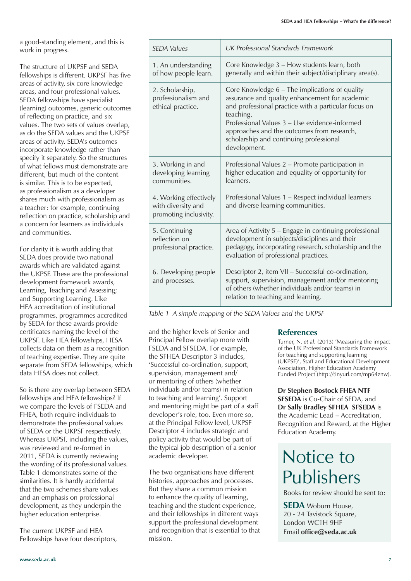a good-standing element, and this is work in progress.

The structure of UKPSF and SEDA fellowships is different. UKPSF has five areas of activity, six core knowledge areas, and four professional values. SEDA fellowships have specialist (learning) outcomes, generic outcomes of reflecting on practice, and six values. The two sets of values overlap, as do the SEDA values and the UKPSF areas of activity. SEDA's outcomes incorporate knowledge rather than specify it separately. So the structures of what fellows must demonstrate are different, but much of the content is similar. This is to be expected, as professionalism as a developer shares much with professionalism as a teacher: for example, continuing reflection on practice, scholarship and a concern for learners as individuals and communities.

For clarity it is worth adding that SEDA does provide two national awards which are validated against the UKPSF. These are the professional development framework awards, Learning, Teaching and Assessing; and Supporting Learning. Like HEA accreditation of institutional programmes, programmes accredited by SEDA for these awards provide certificates naming the level of the UKPSF. Like HEA fellowships, HESA collects data on them as a recognition of teaching expertise. They are quite separate from SEDA fellowships, which data HESA does not collect.

So is there any overlap between SEDA fellowships and HEA fellowships? If we compare the levels of FSEDA and FHEA, both require individuals to demonstrate the professional values of SEDA or the UKPSF respectively. Whereas UKPSF, including the values, was reviewed and re-formed in 2011, SEDA is currently reviewing the wording of its professional values. Table 1 demonstrates some of the similarities. It is hardly accidental that the two schemes share values and an emphasis on professional development, as they underpin the higher education enterprise.

The current UKPSF and HEA Fellowships have four descriptors,

| <b>SFDA Values</b>                                                     | UK Professional Standards Framework                                                                                                                                                                                                                                                                                             |  |
|------------------------------------------------------------------------|---------------------------------------------------------------------------------------------------------------------------------------------------------------------------------------------------------------------------------------------------------------------------------------------------------------------------------|--|
| 1. An understanding<br>of how people learn.                            | Core Knowledge 3 - How students learn, both<br>generally and within their subject/disciplinary area(s).                                                                                                                                                                                                                         |  |
| 2. Scholarship,<br>professionalism and<br>ethical practice.            | Core Knowledge 6 – The implications of quality<br>assurance and quality enhancement for academic<br>and professional practice with a particular focus on<br>teaching.<br>Professional Values 3 - Use evidence-informed<br>approaches and the outcomes from research,<br>scholarship and continuing professional<br>development. |  |
| 3. Working in and<br>developing learning<br>communities.               | Professional Values 2 – Promote participation in<br>higher education and equality of opportunity for<br>learners.                                                                                                                                                                                                               |  |
| 4. Working effectively<br>with diversity and<br>promoting inclusivity. | Professional Values 1 – Respect individual learners<br>and diverse learning communities.                                                                                                                                                                                                                                        |  |
| 5. Continuing<br>reflection on<br>professional practice.               | Area of Activity 5 – Engage in continuing professional<br>development in subjects/disciplines and their<br>pedagogy, incorporating research, scholarship and the<br>evaluation of professional practices.                                                                                                                       |  |
| 6. Developing people<br>and processes.                                 | Descriptor 2, item VII - Successful co-ordination,<br>support, supervision, management and/or mentoring<br>of others (whether individuals and/or teams) in<br>relation to teaching and learning.                                                                                                                                |  |

*Table 1 A simple mapping of the SEDA Values and the UKPSF*

and the higher levels of Senior and Principal Fellow overlap more with FSEDA and SFSEDA. For example, the SFHEA Descriptor 3 includes, 'Successful co-ordination, support, supervision, management and/ or mentoring of others (whether individuals and/or teams) in relation to teaching and learning'. Support and mentoring might be part of a staff developer's role, too. Even more so, at the Principal Fellow level, UKPSF Descriptor 4 includes strategic and policy activity that would be part of the typical job description of a senior academic developer.

The two organisations have different histories, approaches and processes. But they share a common mission to enhance the quality of learning, teaching and the student experience, and their fellowships in different ways support the professional development and recognition that is essential to that mission.

### **References**

Turner, N. *et al.* (2013) 'Measuring the impact of the UK Professional Standards Framework for teaching and supporting learning (UKPSF)', Staff and Educational Development Association, Higher Education Academy Funded Project (http://tinyurl.com/mp64znw).

**Dr Stephen Bostock FHEA NTF SFSEDA** is Co-Chair of SEDA, and **Dr Sally Bradley SFHEA SFSEDA** is the Academic Lead – Accreditation, Recognition and Reward, at the Higher Education Academy.

# Notice to Publishers

Books for review should be sent to:

**SEDA** Woburn House, 20 - 24 Tavistock Square, London WC1H 9HF Email **office@seda.ac.uk**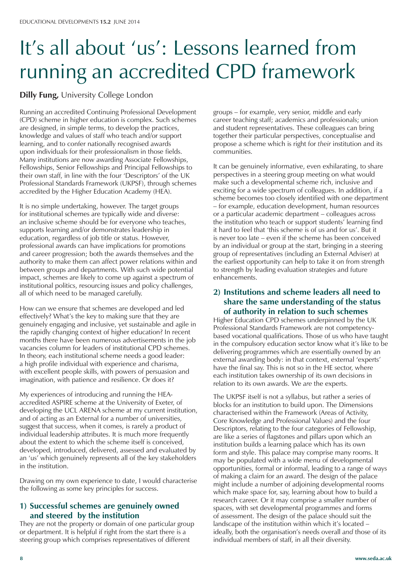# It's all about 'us': Lessons learned from running an accredited CPD framework

### **Dilly Fung,** University College London

Running an accredited Continuing Professional Development (CPD) scheme in higher education is complex. Such schemes are designed, in simple terms, to develop the practices, knowledge and values of staff who teach and/or support learning, and to confer nationally recognised awards upon individuals for their professionalism in those fields. Many institutions are now awarding Associate Fellowships, Fellowships, Senior Fellowships and Principal Fellowships to their own staff, in line with the four 'Descriptors' of the UK Professional Standards Framework (UKPSF), through schemes accredited by the Higher Education Academy (HEA).

It is no simple undertaking, however. The target groups for institutional schemes are typically wide and diverse: an inclusive scheme should be for everyone who teaches, supports learning and/or demonstrates leadership in education, regardless of job title or status. However, professional awards can have implications for promotions and career progression; both the awards themselves and the authority to make them can affect power relations within and between groups and departments. With such wide potential impact, schemes are likely to come up against a spectrum of institutional politics, resourcing issues and policy challenges, all of which need to be managed carefully.

How can we ensure that schemes are developed and led effectively? What's the key to making sure that they are genuinely engaging and inclusive, yet sustainable and agile in the rapidly changing context of higher education? In recent months there have been numerous advertisements in the job vacancies column for leaders of institutional CPD schemes. In theory, each institutional scheme needs a good leader: a high profile individual with experience and charisma, with excellent people skills, with powers of persuasion and imagination, with patience and resilience. Or does it?

My experiences of introducing and running the HEAaccredited ASPIRE scheme at the University of Exeter, of developing the UCL ARENA scheme at my current institution, and of acting as an External for a number of universities, suggest that success, when it comes, is rarely a product of individual leadership attributes. It is much more frequently about the extent to which the scheme itself is conceived, developed, introduced, delivered, assessed and evaluated by an 'us' which genuinely represents all of the key stakeholders in the institution.

Drawing on my own experience to date, I would characterise the following as some key principles for success.

### **1) Successful schemes are genuinely owned and steered by the institution**

They are not the property or domain of one particular group or department. It is helpful if right from the start there is a steering group which comprises representatives of different

groups – for example, very senior, middle and early career teaching staff; academics and professionals; union and student representatives. These colleagues can bring together their particular perspectives, conceptualise and propose a scheme which is right for *their* institution and its communities.

It can be genuinely informative, even exhilarating, to share perspectives in a steering group meeting on what would make such a developmental scheme rich, inclusive and exciting for a wide spectrum of colleagues. In addition, if a scheme becomes too closely identified with one department – for example, education development, human resources or a particular academic department – colleagues across the institution who teach or support students' learning find it hard to feel that 'this scheme is of us and for us'. But it is never too late – even if the scheme has been conceived by an individual or group at the start, bringing in a steering group of representatives (including an External Adviser) at the earliest opportunity can help to take it on from strength to strength by leading evaluation strategies and future enhancements.

### **2) Institutions and scheme leaders all need to share the same understanding of the status of authority in relation to such schemes**

Higher Education CPD schemes underpinned by the UK Professional Standards Framework are not competencybased vocational qualifications. Those of us who have taught in the compulsory education sector know what it's like to be delivering programmes which are essentially owned by an external awarding body: in that context, external 'experts' have the final say. This is not so in the HE sector, where each institution takes ownership of its own decisions in relation to its own awards. We *are* the experts.

The UKPSF itself is not a syllabus, but rather a series of blocks for an institution to build upon. The Dimensions characterised within the Framework (Areas of Activity, Core Knowledge and Professional Values) and the four Descriptors, relating to the four categories of Fellowship, are like a series of flagstones and pillars upon which an institution builds a learning palace which has its own form and style. This palace may comprise many rooms. It may be populated with a wide menu of developmental opportunities, formal or informal, leading to a range of ways of making a claim for an award. The design of the palace might include a number of adjoining developmental rooms which make space for, say, learning about how to build a research career. Or it may comprise a smaller number of spaces, with set developmental programmes and forms of assessment. The design of the palace should suit the landscape of the institution within which it's located – ideally, both the organisation's needs overall *and* those of its individual members of staff, in all their diversity.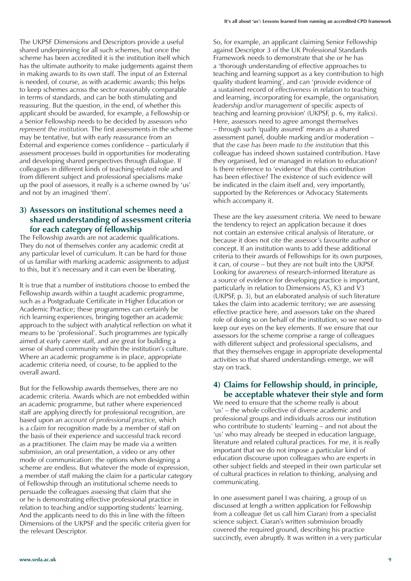The UKPSF Dimensions and Descriptors provide a useful shared underpinning for all such schemes, but once the scheme has been accredited it is the institution itself which has the ultimate authority to make judgements against them in making awards to its own staff. The input of an External is needed, of course, as with academic awards; this helps to keep schemes across the sector reasonably comparable in terms of standards, and can be both stimulating and reassuring. But the question, in the end, of whether this applicant should be awarded, for example, a Fellowship or a Senior Fellowship needs to be decided by assessors *who represent the institution.* The first assessments in the scheme may be tentative, but with early reassurance from an External and experience comes confidence – particularly if assessment processes build in opportunities for moderating and developing shared perspectives through dialogue. If colleagues in different kinds of teaching-related role and from different subject and professional specialisms make up the pool of assessors, it really is a scheme owned by 'us' and not by an imagined 'them'.

### **3) Assessors on institutional schemes need a shared understanding of assessment criteria for each category of fellowship**

The Fellowship awards are not academic qualifications. They do not of themselves confer any academic credit at any particular level of curriculum. It can be hard for those of us familiar with marking academic assignments to adjust to this, but it's necessary and it can even be liberating.

It is true that a number of institutions choose to embed the Fellowship awards within a taught academic programme, such as a Postgraduate Certificate in Higher Education or Academic Practice; these programmes can certainly be rich learning experiences, bringing together an academic approach to the subject with analytical reflection on what it means to be 'professional'. Such programmes are typically aimed at early career staff, and are great for building a sense of shared community within the institution's culture. Where an academic programme is in place, appropriate academic criteria need, of course, to be applied to the overall award.

But for the Fellowship awards themselves, there are no academic criteria. Awards which are not embedded within an academic programme, but rather where experienced staff are applying directly for professional recognition, are based upon an *account of professional practice,* which is a *claim* for recognition made by a member of staff on the basis of their experience and successful track record as a practitioner. The claim may be made via a written submission, an oral presentation, a video or any other mode of communication: the options when designing a scheme are endless. But whatever the mode of expression, a member of staff making the claim for a particular category of Fellowship through an institutional scheme needs to persuade the colleagues assessing that claim that she or he is demonstrating effective professional practice in relation to teaching and/or supporting students' learning. And the applicants need to do this in line with the fifteen Dimensions of the UKPSF and the specific criteria given for the relevant Descriptor.

So, for example, an applicant claiming Senior Fellowship against Descriptor 3 of the UK Professional Standards Framework needs to demonstrate that she or he has a 'thorough understanding of effective approaches to teaching and learning support as a key contribution to high quality student learning', and can 'provide evidence of a sustained record of *effectiveness* in relation to teaching and learning, incorporating for example, the *organisation, leadership and/or management* of specific aspects of teaching and learning provision' (UKPSF, p. 6, my italics). Here, assessors need to agree amongst themselves – through such 'quality assured' means as a shared assessment panel, double marking and/or moderation – that *the case has been made to the institution* that this colleague has indeed shown sustained contribution. Have they organised, led or managed in relation to education? Is there reference to 'evidence' that this contribution has been effective? The existence of such evidence will be indicated in the claim itself and, very importantly, supported by the References or Advocacy Statements which accompany it.

These are the key assessment criteria. We need to beware the tendency to reject an application because it does not contain an extensive critical analysis of literature, or because it does not cite the assessor's favourite author or concept. If an institution wants to add these additional criteria to their awards of Fellowships for its own purposes, it can, of course – but they are not built into the UKPSF. Looking for *awareness* of research-informed literature as a source of evidence for developing practice is important, particularly in relation to Dimensions A5, K3 and V3 (UKPSF, p. 3), but an elaborated analysis of such literature takes the claim into academic territory; we are assessing effective practice here, and assessors take on the shared role of doing so on behalf of the institution, so we need to keep our eyes on the key elements. If we ensure that our assessors for the scheme comprise a range of colleagues with different subject and professional specialisms, and that they themselves engage in appropriate developmental activities so that shared understandings emerge, we will stay on track.

### **4) Claims for Fellowship should, in principle, be acceptable whatever their style and form**

We need to ensure that the scheme really is about 'us' – the whole collective of diverse academic and professional groups and individuals across our institution who contribute to students' learning – and not about the 'us' who may already be steeped in education language, literature and related cultural practices. For me, it is really important that we do not impose a particular kind of education discourse upon colleagues who are experts in other subject fields and steeped in their own particular set of cultural practices in relation to thinking, analysing and communicating.

In one assessment panel I was chairing, a group of us discussed at length a written application for Fellowship from a colleague (let us call him Ciaran) from a specialist science subject. Ciaran's written submission broadly covered the required ground, describing his practice succinctly, even abruptly. It was written in a very particular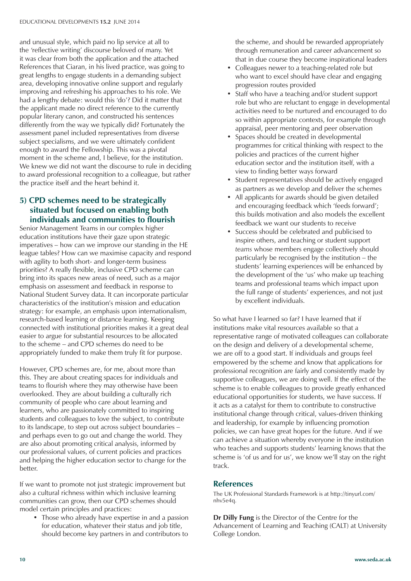and unusual style, which paid no lip service at all to the 'reflective writing' discourse beloved of many. Yet it was clear from both the application and the attached References that Ciaran, in his lived practice, was going to great lengths to engage students in a demanding subject area, developing innovative online support and regularly improving and refreshing his approaches to his role. We had a lengthy debate: would this 'do'? Did it matter that the applicant made no direct reference to the currently popular literary canon, and constructed his sentences differently from the way we typically did? Fortunately the assessment panel included representatives from diverse subject specialisms, and we were ultimately confident enough to award the Fellowship. This was a pivotal moment in the scheme and, I believe, for the institution. We knew we did not want the discourse to rule in deciding to award professional recognition to a colleague, but rather the practice itself and the heart behind it.

### **5) CPD schemes need to be strategically situated but focused on enabling both individuals and communities to flourish**

Senior Management Teams in our complex higher education institutions have their gaze upon strategic imperatives – how can we improve our standing in the HE league tables? How can we maximise capacity and respond with agility to both short- and longer-term business priorities? A really flexible, inclusive CPD scheme can bring into its spaces new areas of need, such as a major emphasis on assessment and feedback in response to National Student Survey data. It can incorporate particular characteristics of the institution's mission and education strategy: for example, an emphasis upon internationalism, research-based learning or distance learning. Keeping connected with institutional priorities makes it a great deal easier to argue for substantial resources to be allocated to the scheme – and CPD schemes do need to be appropriately funded to make them truly fit for purpose.

However, CPD schemes are, for me, about more than this. They are about creating spaces for individuals and teams to flourish where they may otherwise have been overlooked. They are about building a culturally rich community of people who care about learning and learners, who are passionately committed to inspiring students and colleagues to love the subject, to contribute to its landscape, to step out across subject boundaries – and perhaps even to go out and change the world. They are also about promoting critical analysis, informed by our professional values, of current policies and practices and helping the higher education sector to change for the better.

If we want to promote not just strategic improvement but also a cultural richness within which inclusive learning communities can grow, then our CPD schemes should model certain principles and practices:

• Those who already have expertise in and a passion for education, whatever their status and job title, should become key partners in and contributors to

the scheme, and should be rewarded appropriately through remuneration and career advancement so that in due course they become inspirational leaders

- Colleagues newer to a teaching-related role but who want to excel should have clear and engaging progression routes provided
- Staff who have a teaching and/or student support role but who are reluctant to engage in developmental activities need to be nurtured and encouraged to do so within appropriate contexts, for example through appraisal, peer mentoring and peer observation
- Spaces should be created in developmental programmes for critical thinking with respect to the policies and practices of the current higher education sector and the institution itself, with a view to finding better ways forward
- Student representatives should be actively engaged as partners as we develop and deliver the schemes
- All applicants for awards should be given detailed and encouraging feedback which 'feeds forward'; this builds motivation and also models the excellent feedback we want our students to receive
- Success should be celebrated and publicised to inspire others, and teaching or student support *teams* whose members engage collectively should particularly be recognised by the institution – the students' learning experiences will be enhanced by the development of the 'us' who make up teaching teams and professional teams which impact upon the full range of students' experiences, and not just by excellent individuals.

So what have I learned so far? I have learned that if institutions make vital resources available so that a representative range of motivated colleagues can collaborate on the design and delivery of a developmental scheme, we are off to a good start. If individuals and groups feel empowered by the scheme and know that applications for professional recognition are fairly and consistently made by supportive colleagues, we are doing well. If the effect of the scheme is to enable colleagues to provide greatly enhanced educational opportunities for students, we have success. If it acts as a catalyst for them to contribute to constructive institutional change through critical, values-driven thinking and leadership, for example by influencing promotion policies, we can have great hopes for the future. And if we can achieve a situation whereby everyone in the institution who teaches and supports students' learning knows that the scheme is 'of us and for us', we know we'll stay on the right track.

### **References**

The UK Professional Standards Framework is at http://tinyurl.com/ nhv5e4q.

**Dr Dilly Fung** is the Director of the Centre for the Advancement of Learning and Teaching (CALT) at University College London.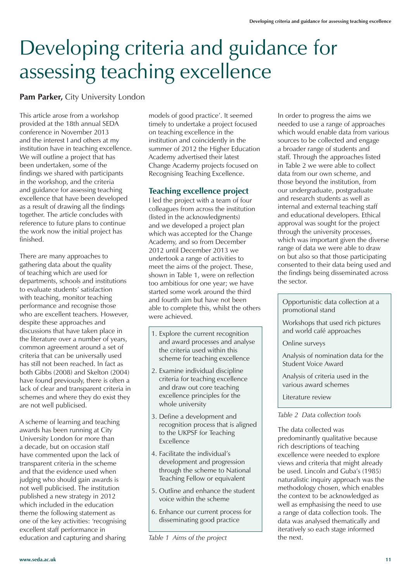# Developing criteria and guidance for assessing teaching excellence

### **Pam Parker,** City University London

This article arose from a workshop provided at the 18th annual SEDA conference in November 2013 and the interest I and others at my institution have in teaching excellence. We will outline a project that has been undertaken, some of the findings we shared with participants in the workshop, and the criteria and guidance for assessing teaching excellence that have been developed as a result of drawing all the findings together. The article concludes with reference to future plans to continue the work now the initial project has finished.

There are many approaches to gathering data about the quality of teaching which are used for departments, schools and institutions to evaluate students' satisfaction with teaching, monitor teaching performance and recognise those who are excellent teachers. However, despite these approaches and discussions that have taken place in the literature over a number of years, common agreement around a set of criteria that can be universally used has still not been reached. In fact as both Gibbs (2008) and Skelton (2004) have found previously, there is often a lack of clear and transparent criteria in schemes and where they do exist they are not well publicised.

A scheme of learning and teaching awards has been running at City University London for more than a decade, but on occasion staff have commented upon the lack of transparent criteria in the scheme and that the evidence used when judging who should gain awards is not well publicised. The institution published a new strategy in 2012 which included in the education theme the following statement as one of the key activities: 'recognising excellent staff performance in education and capturing and sharing

models of good practice'. It seemed timely to undertake a project focused on teaching excellence in the institution and coincidently in the summer of 2012 the Higher Education Academy advertised their latest Change Academy projects focused on Recognising Teaching Excellence.

### **Teaching excellence project**

I led the project with a team of four colleagues from across the institution (listed in the acknowledgments) and we developed a project plan which was accepted for the Change Academy, and so from December 2012 until December 2013 we undertook a range of activities to meet the aims of the project. These, shown in Table 1, were on reflection too ambitious for one year; we have started some work around the third and fourth aim but have not been able to complete this, whilst the others were achieved.

- 1. Explore the current recognition and award processes and analyse the criteria used within this scheme for teaching excellence
- 2. Examine individual discipline criteria for teaching excellence and draw out core teaching excellence principles for the whole university
- 3. Define a development and recognition process that is aligned to the UKPSF for Teaching Excellence
- 4. Facilitate the individual's development and progression through the scheme to National Teaching Fellow or equivalent
- 5. Outline and enhance the student voice within the scheme
- 6. Enhance our current process for disseminating good practice

*Table 1 Aims of the project*

In order to progress the aims we needed to use a range of approaches which would enable data from various sources to be collected and engage a broader range of students and staff. Through the approaches listed in Table 2 we were able to collect data from our own scheme, and those beyond the institution, from our undergraduate, postgraduate and research students as well as internal and external teaching staff and educational developers. Ethical approval was sought for the project through the university processes, which was important given the diverse range of data we were able to draw on but also so that those participating consented to their data being used and the findings being disseminated across the sector.

### Opportunistic data collection at a promotional stand

Workshops that used rich pictures and world café approaches

Online surveys

Analysis of nomination data for the Student Voice Award

Analysis of criteria used in the various award schemes

Literature review

### *Table 2 Data collection tools*

The data collected was predominantly qualitative because rich descriptions of teaching excellence were needed to explore views and criteria that might already be used. Lincoln and Guba's (1985) naturalistic inquiry approach was the methodology chosen, which enables the context to be acknowledged as well as emphasising the need to use a range of data collection tools. The data was analysed thematically and iteratively so each stage informed the next.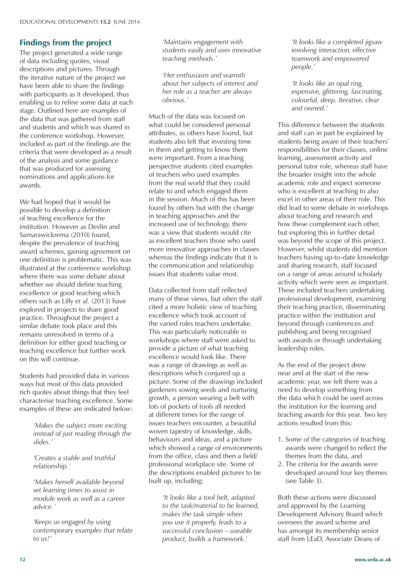### **Findings from the project**

The project generated a wide range of data including quotes, visual descriptions and pictures. Through the iterative nature of the project we have been able to share the findings with participants as it developed, thus enabling us to refine some data at each stage. Outlined here are examples of the data that was gathered from staff and students and which was shared in the conference workshop. However, included as part of the findings are the criteria that were developed as a result of the analysis and some guidance that was produced for assessing nominations and applications for awards.

We had hoped that it would be possible to develop a definition of teaching excellence for the institution. However as Devlin and Samarawickrema (2010) found, despite the prevalence of teaching award schemes, gaining agreement on one definition is problematic. This was illustrated at the conference workshop where there was some debate about whether we should define teaching excellence or good teaching which others such as Lilly *et al.* (2013) have explored in projects to share good practice. Throughout the project a similar debate took place and this remains unresolved in terms of a definition for either good teaching or teaching excellence but further work on this will continue.

Students had provided data in various ways but most of this data provided rich quotes about things that they feel characterise teaching excellence. Some examples of these are indicated below:

> *'Makes the subject more exciting instead of just reading through the slides.'*

*'Creates a stable and truthful relationship.'*

*'Makes herself available beyond set learning times to assist in module work as well as a career advice.'*

*'Keeps us engaged by using contemporary examples that relate to us!'*

*'Maintains engagement with students easily and uses innovative teaching methods.'* 

*'Her enthusiasm and warmth about her subjects of interest and her role as a teacher are always obvious.'*

Much of the data was focused on what could be considered personal attributes, as others have found, but students also felt that investing time in them and getting to know them were important. From a teaching perspective students cited examples of teachers who used examples from the real world that they could relate to and which engaged them in the session. Much of this has been found by others but with the change in teaching approaches and the increased use of technology, there was a view that students would cite as excellent teachers those who used more innovative approaches in classes whereas the findings indicate that it is the communication and relationship issues that students value most.

Data collected from staff reflected many of these views, but often the staff cited a more holistic view of teaching excellence which took account of the varied roles teachers undertake. This was particularly noticeable in workshops where staff were asked to provide a picture of what teaching excellence would look like. There was a range of drawings as well as descriptions which conjured up a picture. Some of the drawings included gardeners sowing seeds and nurturing growth, a person wearing a belt with lots of pockets of tools all needed at different times for the range of issues teachers encounter, a beautiful woven tapestry of knowledge, skills, behaviours and ideas, and a picture which showed a range of environments from the office, class and then a field/ professional workplace site. Some of the descriptions enabled pictures to be built up, including:

*'It looks like a tool belt, adapted to the task/material to be learned, makes the task simple when you use it properly, leads to a successful conclusion – useable product, builds a framework.'*

*'It looks like a completed jigsaw involving interaction, effective teamwork and empowered people.'*

*'It looks like an opal ring, expensive, glittering, fascinating, colourful, deep. Iterative, clear and owned.'*

This difference between the students and staff can in part be explained by students being aware of their teachers' responsibilities for their classes, online learning, assessment activity and personal tutor role, whereas staff have the broader insight into the whole academic role and expect someone who is excellent at teaching to also excel in other areas of their role. This did lead to some debate in workshops about teaching and research and how these complement each other, but exploring this in further detail was beyond the scope of this project. However, whilst students did mention teachers having up-to-date knowledge and sharing research, staff focused on a range of areas around scholarly activity which were seen as important. These included teachers undertaking professional development, examining their teaching practice, disseminating practice within the institution and beyond through conferences and publishing and being recognised with awards or through undertaking leadership roles.

As the end of the project drew near and at the start of the new academic year, we felt there was a need to develop something from the data which could be used across the institution for the learning and teaching awards for this year. Two key actions resulted from this:

- 1. Some of the categories of teaching awards were changed to reflect the themes from the data, and
- 2. The criteria for the awards were developed around four key themes (see Table 3).

Both these actions were discussed and approved by the Learning Development Advisory Board which oversees the award scheme and has amongst its membership senior staff from LEaD, Associate Deans of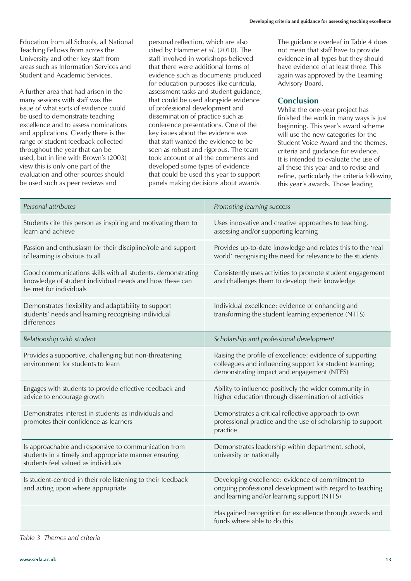Education from all Schools, all National Teaching Fellows from across the University and other key staff from areas such as Information Services and Student and Academic Services.

A further area that had arisen in the many sessions with staff was the issue of what sorts of evidence could be used to demonstrate teaching excellence and to assess nominations and applications. Clearly there is the range of student feedback collected throughout the year that can be used, but in line with Brown's (2003) view this is only one part of the evaluation and other sources should be used such as peer reviews and

personal reflection, which are also cited by Hammer *et al.* (2010). The staff involved in workshops believed that there were additional forms of evidence such as documents produced for education purposes like curricula, assessment tasks and student guidance, that could be used alongside evidence of professional development and dissemination of practice such as conference presentations. One of the key issues about the evidence was that staff wanted the evidence to be seen as robust and rigorous. The team took account of all the comments and developed some types of evidence that could be used this year to support panels making decisions about awards.

The guidance overleaf in Table 4 does not mean that staff have to provide evidence in all types but they should have evidence of at least three. This again was approved by the Learning Advisory Board.

### **Conclusion**

Whilst the one-year project has finished the work in many ways is just beginning. This year's award scheme will use the new categories for the Student Voice Award and the themes, criteria and guidance for evidence. It is intended to evaluate the use of all these this year and to revise and refine, particularly the criteria following this year's awards. Those leading

| Personal attributes                                                                                                                                 | Promoting learning success                                                                                                                                          |
|-----------------------------------------------------------------------------------------------------------------------------------------------------|---------------------------------------------------------------------------------------------------------------------------------------------------------------------|
| Students cite this person as inspiring and motivating them to<br>learn and achieve                                                                  | Uses innovative and creative approaches to teaching,<br>assessing and/or supporting learning                                                                        |
| Passion and enthusiasm for their discipline/role and support<br>of learning is obvious to all                                                       | Provides up-to-date knowledge and relates this to the 'real<br>world' recognising the need for relevance to the students                                            |
| Good communications skills with all students, demonstrating<br>knowledge of student individual needs and how these can<br>be met for individuals    | Consistently uses activities to promote student engagement<br>and challenges them to develop their knowledge                                                        |
| Demonstrates flexibility and adaptability to support<br>students' needs and learning recognising individual<br>differences                          | Individual excellence: evidence of enhancing and<br>transforming the student learning experience (NTFS)                                                             |
| Relationship with student                                                                                                                           | Scholarship and professional development                                                                                                                            |
| Provides a supportive, challenging but non-threatening<br>environment for students to learn                                                         | Raising the profile of excellence: evidence of supporting<br>colleagues and influencing support for student learning;<br>demonstrating impact and engagement (NTFS) |
| Engages with students to provide effective feedback and<br>advice to encourage growth                                                               | Ability to influence positively the wider community in<br>higher education through dissemination of activities                                                      |
| Demonstrates interest in students as individuals and<br>promotes their confidence as learners                                                       | Demonstrates a critical reflective approach to own<br>professional practice and the use of scholarship to support<br>practice                                       |
| Is approachable and responsive to communication from<br>students in a timely and appropriate manner ensuring<br>students feel valued as individuals | Demonstrates leadership within department, school,<br>university or nationally                                                                                      |
| Is student-centred in their role listening to their feedback<br>and acting upon where appropriate                                                   | Developing excellence: evidence of commitment to<br>ongoing professional development with regard to teaching<br>and learning and/or learning support (NTFS)         |
|                                                                                                                                                     | Has gained recognition for excellence through awards and<br>funds where able to do this                                                                             |

*Table 3 Themes and criteria*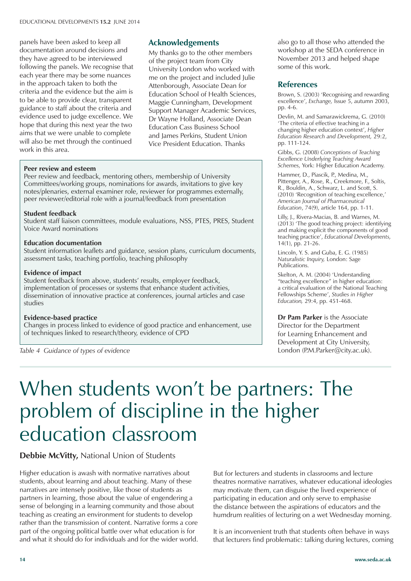panels have been asked to keep all documentation around decisions and they have agreed to be interviewed following the panels. We recognise that each year there may be some nuances in the approach taken to both the criteria and the evidence but the aim is to be able to provide clear, transparent guidance to staff about the criteria and evidence used to judge excellence. We hope that during this next year the two aims that we were unable to complete will also be met through the continued work in this area.

### **Acknowledgements**

My thanks go to the other members of the project team from City University London who worked with me on the project and included Julie Attenborough, Associate Dean for Education School of Health Sciences, Maggie Cunningham, Development Support Manager Academic Services, Dr Wayne Holland, Associate Dean Education Cass Business School and James Perkins, Student Union Vice President Education. Thanks

#### **Peer review and esteem**

Peer review and feedback, mentoring others, membership of University Committees/working groups, nominations for awards, invitations to give key notes/plenaries, external examiner role, reviewer for programmes externally, peer reviewer/editorial role with a journal/feedback from presentation

#### **Student feedback**

Student staff liaison committees, module evaluations, NSS, PTES, PRES, Student Voice Award nominations

#### **Education documentation**

Student information leaflets and guidance, session plans, curriculum documents, assessment tasks, teaching portfolio, teaching philosophy

#### **Evidence of impact**

Student feedback from above, students' results, employer feedback, implementation of processes or systems that enhance student activities, dissemination of innovative practice at conferences, journal articles and case studies

#### **Evidence-based practice**

Changes in process linked to evidence of good practice and enhancement, use of techniques linked to research/theory, evidence of CPD

*Table 4 Guidance of types of evidence*

also go to all those who attended the workshop at the SEDA conference in November 2013 and helped shape some of this work.

### **References**

Brown, S. (2003) 'Recognising and rewarding excellence', *Exchange,* Issue 5, autumn 2003, pp. 4-6.

Devlin, M. and Samarawickrema, G. (2010) 'The criteria of effective teaching in a changing higher education context', *Higher Education Research and Development,* 29:2, pp. 111-124.

Gibbs, G. (2008) *Conceptions of Teaching Excellence Underlying Teaching Award Schemes,* York: Higher Education Academy.

Hammer, D., Piascik, P., Medina, M., Pittenger, A., Rose, R., Creekmore, F., Soltis, R., Bouldin, A., Schwarz, L. and Scott, S. (2010) 'Recognition of teaching excellence,' *American Journal of Pharmaceutical Education*, 74(9), article 164, pp. 1-11.

Lilly, J., Rivera-Macias, B. and Warnes, M. (2013) 'The good teaching project: identifying and making explicit the components of good teaching practice', *Educational Developments,* 14(1), pp. 21-26.

Lincoln, Y. S. and Guba, E. G. (1985) *Naturalistic Inquiry,* London: Sage Publications.

Skelton, A. M. (2004) 'Understanding "teaching excellence" in higher education: a critical evaluation of the National Teaching Fellowships Scheme', *Studies in Higher Education,* 29:4, pp. 451-468.

**Dr Pam Parker** is the Associate Director for the Department for Learning Enhancement and Development at City University, London (P.M.Parker@city.ac.uk).

# When students won't be partners: The problem of discipline in the higher education classroom

### **Debbie McVitty,** National Union of Students

Higher education is awash with normative narratives about students, about learning and about teaching. Many of these narratives are intensely positive, like those of students as partners in learning, those about the value of engendering a sense of belonging in a learning community and those about teaching as creating an environment for students to develop rather than the transmission of content. Narrative forms a core part of the ongoing political battle over what education is for and what it should do for individuals and for the wider world. But for lecturers and students in classrooms and lecture theatres normative narratives, whatever educational ideologies may motivate them, can disguise the lived experience of participating in education and only serve to emphasise the distance between the aspirations of educators and the humdrum realities of lecturing on a wet Wednesday morning.

It is an inconvenient truth that students often behave in ways that lecturers find problematic: talking during lectures, coming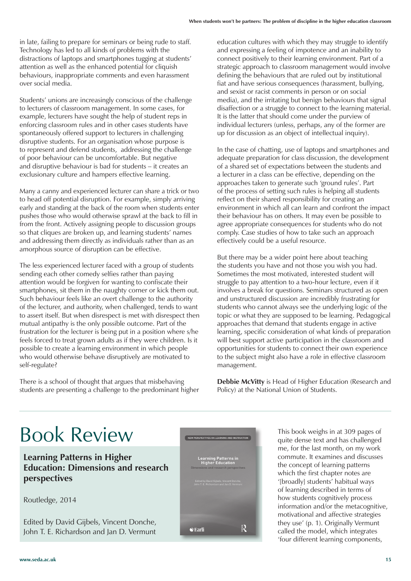in late, failing to prepare for seminars or being rude to staff. Technology has led to all kinds of problems with the distractions of laptops and smartphones tugging at students' attention as well as the enhanced potential for cliquish behaviours, inappropriate comments and even harassment over social media.

Students' unions are increasingly conscious of the challenge to lecturers of classroom management. In some cases, for example, lecturers have sought the help of student reps in enforcing classroom rules and in other cases students have spontaneously offered support to lecturers in challenging disruptive students. For an organisation whose purpose is to represent and defend students, addressing the challenge of poor behaviour can be uncomfortable. But negative and disruptive behaviour is bad for students – it creates an exclusionary culture and hampers effective learning.

Many a canny and experienced lecturer can share a trick or two to head off potential disruption. For example, simply arriving early and standing at the back of the room when students enter pushes those who would otherwise sprawl at the back to fill in from the front. Actively assigning people to discussion groups so that cliques are broken up, and learning students' names and addressing them directly as individuals rather than as an amorphous source of disruption can be effective.

The less experienced lecturer faced with a group of students sending each other comedy selfies rather than paying attention would be forgiven for wanting to confiscate their smartphones, sit them in the naughty corner or kick them out. Such behaviour feels like an overt challenge to the authority of the lecturer, and authority, when challenged, tends to want to assert itself. But when disrespect is met with disrespect then mutual antipathy is the only possible outcome. Part of the frustration for the lecturer is being put in a position where s/he feels forced to treat grown adults as if they were children. Is it possible to create a learning environment in which people who would otherwise behave disruptively are motivated to self-regulate?

There is a school of thought that argues that misbehaving students are presenting a challenge to the predominant higher education cultures with which they may struggle to identify and expressing a feeling of impotence and an inability to connect positively to their learning environment. Part of a strategic approach to classroom management would involve defining the behaviours that are ruled out by institutional fiat and have serious consequences (harassment, bullying, and sexist or racist comments in person or on social media), and the irritating but benign behaviours that signal disaffection or a struggle to connect to the learning material. It is the latter that should come under the purview of individual lecturers (unless, perhaps, any of the former are up for discussion as an object of intellectual inquiry).

In the case of chatting, use of laptops and smartphones and adequate preparation for class discussion, the development of a shared set of expectations between the students and a lecturer in a class can be effective, depending on the approaches taken to generate such 'ground rules'. Part of the process of setting such rules is helping all students reflect on their shared responsibility for creating an environment in which all can learn and confront the impact their behaviour has on others. It may even be possible to agree appropriate consequences for students who do not comply. Case studies of how to take such an approach effectively could be a useful resource.

But there may be a wider point here about teaching the students you have and not those you wish you had. Sometimes the most motivated, interested student will struggle to pay attention to a two-hour lecture, even if it involves a break for questions. Seminars structured as open and unstructured discussion are incredibly frustrating for students who cannot always see the underlying logic of the topic or what they are supposed to be learning. Pedagogical approaches that demand that students engage in active learning, specific consideration of what kinds of preparation will best support active participation in the classroom and opportunities for students to connect their own experience to the subject might also have a role in effective classroom management.

**Debbie McVitty** is Head of Higher Education (Research and Policy) at the National Union of Students.

# Book Review

**Learning Patterns in Higher Education: Dimensions and research perspectives**

Routledge, 2014

Edited by David Gijbels, Vincent Donche, John T. E. Richardson and Jan D. Vermunt



This book weighs in at 309 pages of quite dense text and has challenged me, for the last month, on my work commute. It examines and discusses the concept of learning patterns which the first chapter notes are '[broadly] students' habitual ways of learning described in terms of how students cognitively process information and/or the metacognitive, motivational and affective strategies they use' (p. 1). Originally Vermunt called the model, which integrates 'four different learning components,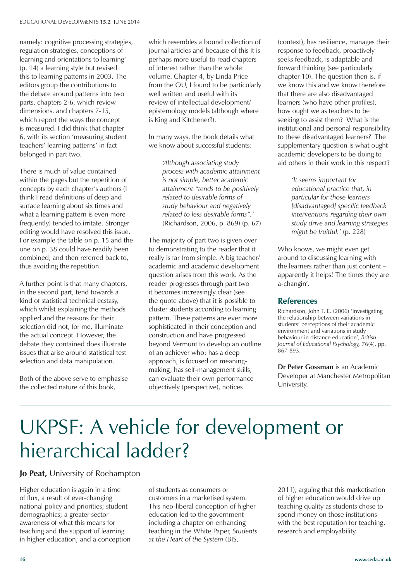namely: cognitive processing strategies, regulation strategies, conceptions of learning and orientations to learning' (p. 14) a learning style but revised this to learning patterns in 2003. The editors group the contributions to the debate around patterns into two parts, chapters 2-6, which review dimensions, and chapters 7-15, which report the ways the concept is measured. I did think that chapter 6, with its section 'measuring student teachers' learning patterns' in fact belonged in part two.

There is much of value contained within the pages but the repetition of concepts by each chapter's authors (I think I read definitions of deep and surface learning about six times and what a learning pattern is even more frequently) tended to irritate. Stronger editing would have resolved this issue. For example the table on p. 15 and the one on p. 38 could have readily been combined, and then referred back to, thus avoiding the repetition.

A further point is that many chapters, in the second part, tend towards a kind of statistical technical ecstasy, which whilst explaining the methods applied and the reasons for their selection did not, for me, illuminate the actual concept. However, the debate they contained does illustrate issues that arise around statistical test selection and data manipulation.

Both of the above serve to emphasise the collected nature of this book,

which resembles a bound collection of journal articles and because of this it is perhaps more useful to read chapters of interest rather than the whole volume. Chapter 4, by Linda Price from the OU, I found to be particularly well written and useful with its review of intellectual development/ epistemology models (although where is King and Kitchener?).

In many ways, the book details what we know about successful students:

> *'Although associating study process with academic attainment is not simple, better academic attainment "tends to be positively related to desirable forms of study behaviour and negatively related to less desirable forms".'*  (Richardson, 2006, p. 869) (p. 67)

The majority of part two is given over to demonstrating to the reader that it really is far from simple. A big teacher/ academic and academic development question arises from this work. As the reader progresses through part two it becomes increasingly clear (see the quote above) that it is possible to cluster students according to learning pattern. These patterns are ever more sophisticated in their conception and construction and have progressed beyond Vermunt to develop an outline of an achiever who: has a deep approach, is focused on meaningmaking, has self-management skills, can evaluate their own performance objectively (perspective), notices

(context), has resilience, manages their response to feedback, proactively seeks feedback, is adaptable and forward thinking (see particularly chapter 10). The question then is, if we know this and we know therefore that there are also disadvantaged learners (who have other profiles), how ought we as teachers to be seeking to assist them? What is the institutional and personal responsibility to these disadvantaged learners? The supplementary question is what ought academic developers to be doing to aid others in their work in this respect?

> *'It seems important for educational practice that, in particular for those learners [disadvantaged] specific feedback interventions regarding their own study drive and learning strategies might be fruitful.'* (p. 228)

Who knows, we might even get around to discussing learning with the learners rather than just content – apparently it helps! The times they are a-changin'.

### **References**

Richardson, John T. E. (2006) 'Investigating the relationship between variations in students' perceptions of their academic environment and variations in study behaviour in distance education', *British Journal of Educational Psychology,* 76(4), pp. 867-893.

**Dr Peter Gossman** is an Academic Developer at Manchester Metropolitan University.

# UKPSF: A vehicle for development or hierarchical ladder?

### **Jo Peat,** University of Roehampton

Higher education is again in a time of flux, a result of ever-changing national policy and priorities; student demographics; a greater sector awareness of what this means for teaching and the support of learning in higher education; and a conception of students as consumers or customers in a marketised system. This neo-liberal conception of higher education led to the government including a chapter on enhancing teaching in the White Paper, *Students at the Heart of the System* (BIS,

2011), arguing that this marketisation of higher education would drive up teaching quality as students chose to spend money on those institutions with the best reputation for teaching, research and employability.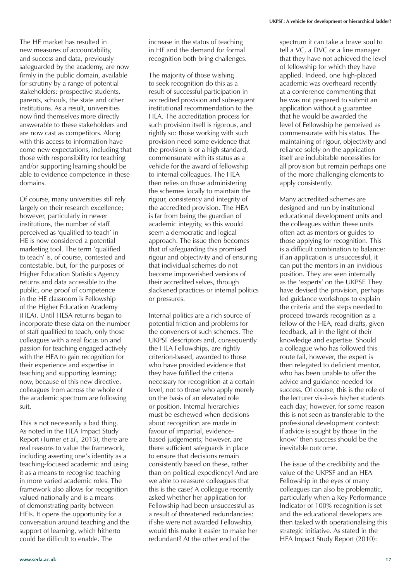The HE market has resulted in new measures of accountability, and success and data, previously safeguarded by the academy, are now firmly in the public domain, available for scrutiny by a range of potential stakeholders: prospective students, parents, schools, the state and other institutions. As a result, universities now find themselves more directly answerable to these stakeholders and are now cast as competitors. Along with this access to information have come new expectations, including that those with responsibility for teaching and/or supporting learning should be able to evidence competence in these domains.

Of course, many universities still rely largely on their research excellence; however, particularly in newer institutions, the number of staff perceived as 'qualified to teach' in HE is now considered a potential marketing tool. The term 'qualified to teach' is, of course, contested and contestable, but, for the purposes of Higher Education Statistics Agency returns and data accessible to the public, one proof of competence in the HE classroom is Fellowship of the Higher Education Academy (HEA). Until HESA returns began to incorporate these data on the number of staff qualified to teach, only those colleagues with a real focus on and passion for teaching engaged actively with the HEA to gain recognition for their experience and expertise in teaching and supporting learning; now, because of this new directive, colleagues from across the whole of the academic spectrum are following suit.

This is not necessarily a bad thing. As noted in the HEA Impact Study Report (Turner *et al.,* 2013), there are real reasons to value the framework, including asserting one's identity as a teaching-focused academic and using it as a means to recognise teaching in more varied academic roles. The framework also allows for recognition valued nationally and is a means of demonstrating parity between HEIs. It opens the opportunity for a conversation around teaching and the support of learning, which hitherto could be difficult to enable. The

increase in the status of teaching in HE and the demand for formal recognition both bring challenges.

The majority of those wishing to seek recognition do this as a result of successful participation in accredited provision and subsequent institutional recommendation to the HEA. The accreditation process for such provision itself is rigorous, and rightly so: those working with such provision need some evidence that the provision is of a high standard, commensurate with its status as a vehicle for the award of fellowship to internal colleagues. The HEA then relies on those administering the schemes locally to maintain the rigour, consistency and integrity of the accredited provision. The HEA is far from being the guardian of academic integrity, so this would seem a democratic and logical approach. The issue then becomes that of safeguarding this promised rigour and objectivity and of ensuring that individual schemes do not become impoverished versions of their accredited selves, through slackened practices or internal politics or pressures.

Internal politics are a rich source of potential friction and problems for the conveners of such schemes. The UKPSF descriptors and, consequently the HEA Fellowships, are rightly criterion-based, awarded to those who have provided evidence that they have fulfilled the criteria necessary for recognition at a certain level, not to those who apply merely on the basis of an elevated role or position. Internal hierarchies must be eschewed when decisions about recognition are made in favour of impartial, evidencebased judgements; however, are there sufficient safeguards in place to ensure that decisions remain consistently based on these, rather than on political expediency? And are we able to reassure colleagues that this is the case? A colleague recently asked whether her application for Fellowship had been unsuccessful as a result of threatened redundancies: if she were not awarded Fellowship, would this make it easier to make her redundant? At the other end of the

spectrum it can take a brave soul to tell a VC, a DVC or a line manager that they have not achieved the level of fellowship for which they have applied. Indeed, one high-placed academic was overheard recently at a conference commenting that he was not prepared to submit an application without a guarantee that he would be awarded the level of Fellowship he perceived as commensurate with his status. The maintaining of rigour, objectivity and reliance solely on the application itself are indubitable necessities for all provision but remain perhaps one of the more challenging elements to apply consistently.

Many accredited schemes are designed and run by institutional educational development units and the colleagues within these units often act as mentors or guides to those applying for recognition. This is a difficult combination to balance: if an application is unsuccessful, it can put the mentors in an invidious position. They are seen internally as the 'experts' on the UKPSF. They have devised the provision, perhaps led guidance workshops to explain the criteria and the steps needed to proceed towards recognition as a fellow of the HEA, read drafts, given feedback, all in the light of their knowledge and expertise. Should a colleague who has followed this route fail, however, the expert is then relegated to deficient mentor, who has been unable to offer the advice and guidance needed for success. Of course, this is the role of the lecturer vis-à-vis his/her students each day; however, for some reason this is not seen as transferable to the professional development context: if advice is sought by those 'in the know' then success should be the inevitable outcome.

The issue of the credibility and the value of the UKPSF and an HEA Fellowship in the eyes of many colleagues can also be problematic, particularly when a Key Performance Indicator of 100% recognition is set and the educational developers are then tasked with operationalising this strategic initiative. As stated in the HEA Impact Study Report (2010):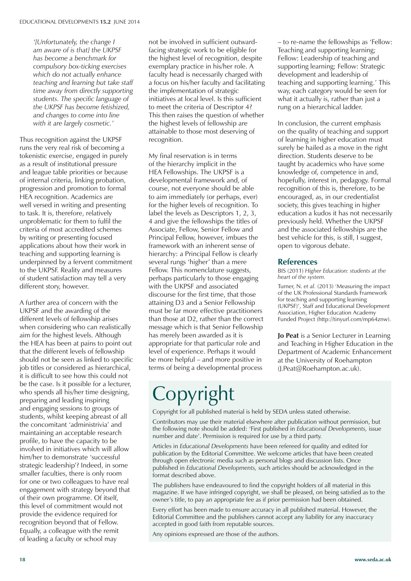*'[Unfortunately, the change I am aware of is that] the UKPSF has become a benchmark for compulsory box-ticking exercises which do not actually enhance teaching and learning but take staff time away from directly supporting students. The specific language of the UKPSF has become fetishized, and changes to come into line with it are largely cosmetic.'* 

Thus recognition against the UKPSF runs the very real risk of becoming a tokenistic exercise, engaged in purely as a result of institutional pressure and league table priorities or because of internal criteria, linking probation, progression and promotion to formal HEA recognition. Academics are well versed in writing and presenting to task. It is, therefore, relatively unproblematic for them to fulfil the criteria of most accredited schemes by writing or presenting focused applications about how their work in teaching and supporting learning is underpinned by a fervent commitment to the UKPSF. Reality and measures of student satisfaction may tell a very different story, however.

A further area of concern with the UKPSF and the awarding of the different levels of fellowship arises when considering who can realistically aim for the highest levels. Although the HEA has been at pains to point out that the different levels of fellowship should not be seen as linked to specific job titles or considered as hierarchical, it is difficult to see how this could not be the case. Is it possible for a lecturer, who spends all his/her time designing, preparing and leading inspiring and engaging sessions to groups of students, whilst keeping abreast of all the concomitant 'administrivia' and maintaining an acceptable research profile, to have the capacity to be involved in initiatives which will allow him/her to demonstrate 'successful strategic leadership'? Indeed, in some smaller faculties, there is only room for one or two colleagues to have real engagement with strategy beyond that of their own programme. Of itself, this level of commitment would not provide the evidence required for recognition beyond that of Fellow. Equally, a colleague with the remit of leading a faculty or school may

not be involved in sufficient outwardfacing strategic work to be eligible for the highest level of recognition, despite exemplary practice in his/her role. A faculty head is necessarily charged with a focus on his/her faculty and facilitating the implementation of strategic initiatives at local level. Is this sufficient to meet the criteria of Descriptor 4? This then raises the question of whether the highest levels of fellowship are attainable to those most deserving of recognition.

My final reservation is in terms of the hierarchy implicit in the HEA Fellowships. The UKPSF is a developmental framework and, of course, not everyone should be able to aim immediately (or perhaps, ever) for the higher levels of recognition. To label the levels as Descriptors 1, 2, 3, 4 and give the fellowships the titles of Associate, Fellow, Senior Fellow and Principal Fellow, however, imbues the framework with an inherent sense of hierarchy: a Principal Fellow is clearly several rungs 'higher' than a mere Fellow. This nomenclature suggests, perhaps particularly to those engaging with the UKPSF and associated discourse for the first time, that those attaining D3 and a Senior Fellowship must be far more effective practitioners than those at D2, rather than the correct message which is that Senior Fellowship has merely been awarded as it is appropriate for that particular role and level of experience. Perhaps it would be more helpful – and more positive in terms of being a developmental process

– to re-name the fellowships as 'Fellow: Teaching and supporting learning; Fellow: Leadership of teaching and supporting learning; Fellow: Strategic development and leadership of teaching and supporting learning.' This way, each category would be seen for what it actually is, rather than just a rung on a hierarchical ladder.

In conclusion, the current emphasis on the quality of teaching and support of learning in higher education must surely be hailed as a move in the right direction. Students deserve to be taught by academics who have some knowledge of, competence in and, hopefully, interest in, pedagogy. Formal recognition of this is, therefore, to be encouraged, as, in our credentialist society, this gives teaching in higher education a kudos it has not necessarily previously held. Whether the UKPSF and the associated fellowships are the best vehicle for this, is still, I suggest, open to vigorous debate.

### **References**

BIS (2011) *Higher Education: students at the heart of the system.*

Turner, N. *et al.* (2013) 'Measuring the impact of the UK Professional Standards Framework for teaching and supporting learning (UKPSF)', Staff and Educational Development Association, Higher Education Academy Funded Project (http://tinyurl.com/mp64znw).

**Jo Peat** is a Senior Lecturer in Learning and Teaching in Higher Education in the Department of Academic Enhancement at the University of Roehampton (J.Peat@Roehampton.ac.uk).

# Copyright

Copyright for all published material is held by SEDA unless stated otherwise.

Contributors may use their material elsewhere after publication without permission, but the following note should be added: 'First published in *Educational Developments,* issue number and date'. Permission is required for use by a third party.

Articles in *Educational Developments* have been refereed for quality and edited for publication by the Editorial Committee. We welcome articles that have been created through open electronic media such as personal blogs and discussion lists. Once published in *Educational Developments,* such articles should be acknowledged in the format described above.

The publishers have endeavoured to find the copyright holders of all material in this magazine. If we have infringed copyright, we shall be pleased, on being satisfied as to the owner's title, to pay an appropriate fee as if prior permission had been obtained.

Every effort has been made to ensure accuracy in all published material. However, the Editorial Committee and the publishers cannot accept any liability for any inaccuracy accepted in good faith from reputable sources.

Any opinions expressed are those of the authors.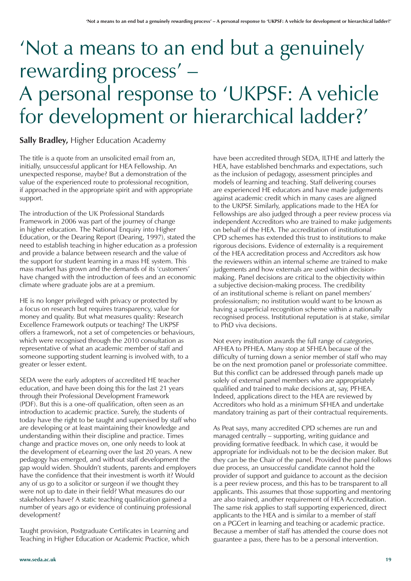# 'Not a means to an end but a genuinely rewarding process' – A personal response to 'UKPSF: A vehicle for development or hierarchical ladder?'

### **Sally Bradley,** Higher Education Academy

The title is a quote from an unsolicited email from an, initially, unsuccessful applicant for HEA Fellowship. An unexpected response, maybe? But a demonstration of the value of the experienced route to professional recognition, if approached in the appropriate spirit and with appropriate support.

The introduction of the UK Professional Standards Framework in 2006 was part of the journey of change in higher education. The National Enquiry into Higher Education, or the Dearing Report (Dearing, 1997), stated the need to establish teaching in higher education as a profession and provide a balance between research and the value of the support for student learning in a mass HE system. This mass market has grown and the demands of its 'customers' have changed with the introduction of fees and an economic climate where graduate jobs are at a premium.

HE is no longer privileged with privacy or protected by a focus on research but requires transparency, value for money and quality. But what measures quality: Research Excellence Framework outputs or teaching? The UKPSF offers a framework, not a set of competencies or behaviours, which were recognised through the 2010 consultation as representative of what an academic member of staff and someone supporting student learning is involved with, to a greater or lesser extent.

SEDA were the early adopters of accredited HE teacher education, and have been doing this for the last 21 years through their Professional Development Framework (PDF). But this is a one-off qualification, often seen as an introduction to academic practice. Surely, the students of today have the right to be taught and supervised by staff who are developing or at least maintaining their knowledge and understanding within their discipline and practice. Times change and practice moves on, one only needs to look at the development of eLearning over the last 20 years. A new pedagogy has emerged, and without staff development the gap would widen. Shouldn't students, parents and employers have the confidence that their investment is worth it? Would any of us go to a solicitor or surgeon if we thought they were not up to date in their field? What measures do our stakeholders have? A static teaching qualification gained a number of years ago or evidence of continuing professional development?

Taught provision, Postgraduate Certificates in Learning and Teaching in Higher Education or Academic Practice, which

have been accredited through SEDA, ILTHE and latterly the HEA, have established benchmarks and expectations, such as the inclusion of pedagogy, assessment principles and models of learning and teaching. Staff delivering courses are experienced HE educators and have made judgements against academic credit which in many cases are aligned to the UKPSF. Similarly, applications made to the HEA for Fellowships are also judged through a peer review process via independent Accreditors who are trained to make judgements on behalf of the HEA. The accreditation of institutional CPD schemes has extended this trust to institutions to make rigorous decisions. Evidence of externality is a requirement of the HEA accreditation process and Accreditors ask how the reviewers within an internal scheme are trained to make judgements and how externals are used within decisionmaking. Panel decisions are critical to the objectivity within a subjective decision-making process. The credibility of an institutional scheme is reliant on panel members' professionalism; no institution would want to be known as having a superficial recognition scheme within a nationally recognised process. Institutional reputation is at stake, similar to PhD viva decisions.

Not every institution awards the full range of *categories,* AFHEA to PFHEA. Many stop at SFHEA because of the difficulty of turning down a senior member of staff who may be on the next promotion panel or professoriate committee. But this conflict can be addressed through panels made up solely of external panel members who are appropriately qualified and trained to make decisions at, say, PFHEA. Indeed, applications direct to the HEA are reviewed by Accreditors who hold as a minimum SFHEA and undertake mandatory training as part of their contractual requirements.

As Peat says, many accredited CPD schemes are run and managed centrally – supporting, writing guidance and providing formative feedback. In which case, it would be appropriate for individuals not to be the decision maker. But they can be the Chair of the panel. Provided the panel follows due process, an unsuccessful candidate cannot hold the provider of support and guidance to account as the decision is a peer review process, and this has to be transparent to all applicants. This assumes that those supporting and mentoring are also trained, another requirement of HEA Accreditation. The same risk applies to staff supporting experienced, direct applicants to the HEA and is similar to a member of staff on a PGCert in learning and teaching or academic practice. Because a member of staff has attended the course does not guarantee a pass, there has to be a personal intervention.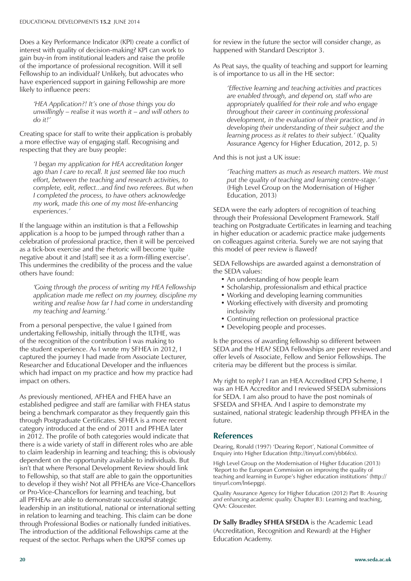Does a Key Performance Indicator (KPI) create a conflict of interest with quality of decision-making? KPI can work to gain buy-in from institutional leaders and raise the profile of the importance of professional recognition. Will it sell Fellowship to an individual? Unlikely, but advocates who have experienced support in gaining Fellowship are more likely to influence peers:

*'HEA Application?! It's one of those things you do unwillingly – realise it was worth it – and will others to do it!'* 

Creating space for staff to write their application is probably a more effective way of engaging staff. Recognising and respecting that they are busy people:

*'I began my application for HEA accreditation longer ago than I care to recall. It just seemed like too much effort, between the teaching and research activities, to complete, edit, reflect...and find two referees. But when I completed the process, to have others acknowledge my work, made this one of my most life-enhancing experiences.'*

If the language within an institution is that a Fellowship application is a hoop to be jumped through rather than a celebration of professional practice, then it will be perceived as a tick-box exercise and the rhetoric will become 'quite negative about it and [staff] see it as a form-filling exercise'. This undermines the credibility of the process and the value others have found:

*'Going through the process of writing my HEA Fellowship application made me reflect on my journey, discipline my writing and realise how far I had come in understanding my teaching and learning.'*

From a personal perspective, the value I gained from undertaking Fellowship, initially through the ILTHE, was of the recognition of the contribution I was making to the student experience. As I wrote my SFHEA in 2012, I captured the journey I had made from Associate Lecturer, Researcher and Educational Developer and the influences which had impact on my practice and how my practice had impact on others.

As previously mentioned, AFHEA and FHEA have an established pedigree and staff are familiar with FHEA status being a benchmark comparator as they frequently gain this through Postgraduate Certificates. SFHEA is a more recent category introduced at the end of 2011 and PFHEA later in 2012. The profile of both categories would indicate that there is a wide variety of staff in different roles who are able to claim leadership in learning and teaching; this is obviously dependent on the opportunity available to individuals. But isn't that where Personal Development Review should link to Fellowship, so that staff are able to gain the opportunities to develop if they wish? Not all PFHEAs are Vice-Chancellors or Pro-Vice-Chancellors for learning and teaching, but all PFHEAs are able to demonstrate successful strategic leadership in an institutional, national or international setting in relation to learning and teaching. This claim can be done through Professional Bodies or nationally funded initiatives. The introduction of the additional Fellowships came at the request of the sector. Perhaps when the UKPSF comes up

for review in the future the sector will consider change, as happened with Standard Descriptor 3.

As Peat says, the quality of teaching and support for learning is of importance to us all in the HE sector:

*'Effective learning and teaching activities and practices are enabled through, and depend on, staff who are appropriately qualified for their role and who engage throughout their career in continuing professional development, in the evaluation of their practice, and in developing their understanding of their subject and the learning process as it relates to their subject.'* (Quality Assurance Agency for Higher Education, 2012, p. 5)

And this is not just a UK issue:

*'Teaching matters as much as research matters. We must put the quality of teaching and learning centre-stage.'* (High Level Group on the Modernisation of Higher Education, 2013)

SEDA were the early adopters of recognition of teaching through their Professional Development Framework. Staff teaching on Postgraduate Certificates in learning and teaching in higher education or academic practice make judgements on colleagues against criteria. Surely we are not saying that this model of peer review is flawed?

SEDA Fellowships are awarded against a demonstration of the SEDA values:

- An understanding of how people learn
- Scholarship, professionalism and ethical practice
- Working and developing learning communities
- Working effectively with diversity and promoting inclusivity
- Continuing reflection on professional practice
- Developing people and processes.

Is the process of awarding fellowship so different between SEDA and the HEA? SEDA Fellowships are peer reviewed and offer levels of Associate, Fellow and Senior Fellowships. The criteria may be different but the process is similar.

My right to reply? I ran an HEA Accredited CPD Scheme, I was an HEA Accreditor and I reviewed SFSEDA submissions for SEDA. I am also proud to have the post nominals of SFSEDA and SFHEA. And I aspire to demonstrate my sustained, national strategic leadership through PFHEA in the future.

### **References**

Dearing, Ronald (1997) 'Dearing Report', National Committee of Enquiry into Higher Education (http://tinyurl.com/ybb6fcs).

High Level Group on the Modernisation of Higher Education (2013) 'Report to the European Commission on improving the quality of teaching and learning in Europe's higher education institutions' (http:// tinyurl.com/ln6epgp).

Quality Assurance Agency for Higher Education (2012) Part B: *Assuring and enhancing academic quality.* Chapter B3: Learning and teaching, QAA: Gloucester.

**Dr Sally Bradley SFHEA SFSEDA** is the Academic Lead (Accreditation, Recognition and Reward) at the Higher Education Academy.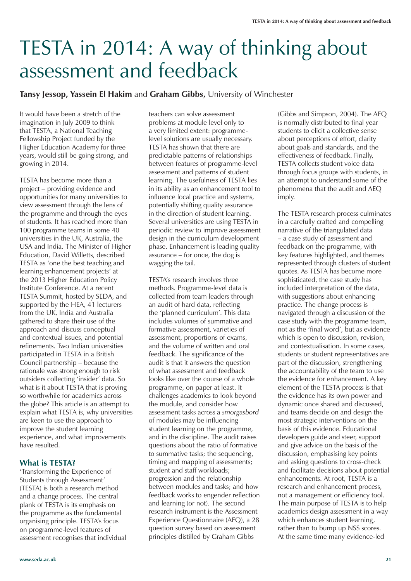# TESTA in 2014: A way of thinking about assessment and feedback

### **Tansy Jessop, Yassein El Hakim** and **Graham Gibbs,** University of Winchester

It would have been a stretch of the imagination in July 2009 to think that TESTA, a National Teaching Fellowship Project funded by the Higher Education Academy for three years, would still be going strong, and growing in 2014.

TESTA has become more than a project – providing evidence and opportunities for many universities to view assessment through the lens of the programme and through the eyes of students. It has reached more than 100 programme teams in some 40 universities in the UK, Australia, the USA and India. The Minister of Higher Education, David Willetts, described TESTA as 'one the best teaching and learning enhancement projects' at the 2013 Higher Education Policy Institute Conference. At a recent TESTA Summit, hosted by SEDA, and supported by the HEA, 41 lecturers from the UK, India and Australia gathered to share their use of the approach and discuss conceptual and contextual issues, and potential refinements. Two Indian universities participated in TESTA in a British Council partnership – because the rationale was strong enough to risk outsiders collecting 'insider' data. So what is it about TESTA that is proving so worthwhile for academics across the globe? This article is an attempt to explain what TESTA is, why universities are keen to use the approach to improve the student learning experience, and what improvements have resulted.

### **What is TESTA?**

'Transforming the Experience of Students through Assessment' (TESTA) is both a research method and a change process. The central plank of TESTA is its emphasis on the programme as the fundamental organising principle. TESTA's focus on programme-level features of assessment recognises that individual teachers can solve assessment problems at module level only to a very limited extent: programmelevel solutions are usually necessary. TESTA has shown that there are predictable patterns of relationships between features of programme-level assessment and patterns of student learning. The usefulness of TESTA lies in its ability as an enhancement tool to influence local practice and systems, potentially shifting quality assurance in the direction of student learning. Several universities are using TESTA in periodic review to improve assessment design in the curriculum development phase. Enhancement is leading quality  $\frac{1}{x}$  assurance – for once, the dog is wagging the tail.

TESTA's research involves three methods. Programme-level data is collected from team leaders through an audit of hard data, reflecting the 'planned curriculum'. This data includes volumes of summative and formative assessment, varieties of assessment, proportions of exams, and the volume of written and oral feedback. The significance of the audit is that it answers the question of what assessment and feedback looks like over the course of a whole programme, on paper at least. It challenges academics to look beyond the module, and consider how assessment tasks across a *smorgasbord* of modules may be influencing student learning on the programme, and in the discipline. The audit raises questions about the ratio of formative to summative tasks; the sequencing, timing and mapping of assessments; student and staff workloads; progression and the relationship between modules and tasks; and how feedback works to engender reflection and learning (or not). The second research instrument is the Assessment Experience Questionnaire (AEQ), a 28 question survey based on assessment principles distilled by Graham Gibbs

(Gibbs and Simpson, 2004). The AEQ is normally distributed to final year students to elicit a collective sense about perceptions of effort, clarity about goals and standards, and the effectiveness of feedback. Finally, TESTA collects student voice data through focus groups with students, in an attempt to understand some of the phenomena that the audit and AEQ imply.

The TESTA research process culminates in a carefully crafted and compelling narrative of the triangulated data – a case study of assessment and feedback on the programme, with key features highlighted, and themes represented through clusters of student quotes. As TESTA has become more sophisticated, the case study has included interpretation of the data, with suggestions about enhancing practice. The change process is navigated through a discussion of the case study with the programme team, not as the 'final word', but as evidence which is open to discussion, revision, and contextualisation. In some cases, students or student representatives are part of the discussion, strengthening the accountability of the team to use the evidence for enhancement. A key element of the TESTA process is that the evidence has its own power and dynamic once shared and discussed, and teams decide on and design the most strategic interventions on the basis of this evidence. Educational developers guide and steer, support and give advice on the basis of the discussion, emphasising key points and asking questions to cross-check and facilitate decisions about potential enhancements. At root, TESTA is a research and enhancement process, not a management or efficiency tool. The main purpose of TESTA is to help academics design assessment in a way which enhances student learning, rather than to bump up NSS scores. At the same time many evidence-led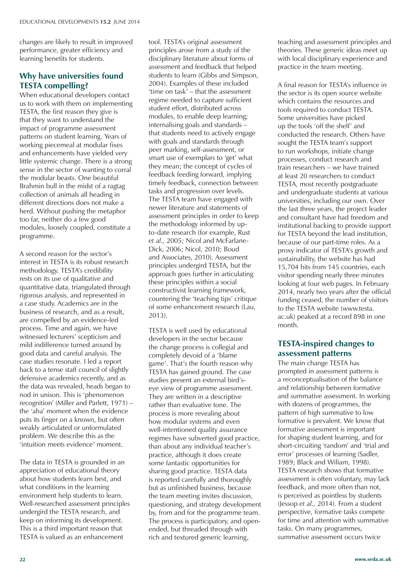changes are likely to result in improved performance, greater efficiency and learning benefits for students.

### **Why have universities found TESTA compelling?**

When educational developers contact us to work with them on implementing TESTA, the first reason they give is that they want to understand the impact of programme assessment patterns on student learning. Years of working piecemeal at modular fixes and enhancements have yielded very little systemic change. There is a strong sense in the sector of wanting to corral the modular beasts. One beautiful Brahmin bull in the midst of a ragtag collection of animals all heading in different directions does not make a herd. Without pushing the metaphor too far, neither do a few good modules, loosely coupled, constitute a programme.

A second reason for the sector's interest in TESTA is its robust research methodology. TESTA's credibility rests on its use of qualitative and quantitative data, triangulated through rigorous analysis, and represented in a case study. Academics are in the business of research, and as a result, are compelled by an evidence-led process. Time and again, we have witnessed lecturers' scepticism and mild indifference turned around by good data and careful analysis. The case studies resonate. I led a report back to a tense staff council of slightly defensive academics recently, and as the data was revealed, heads began to nod in unison. This is 'phenomenon recognition' (Miller and Parlett, 1971) – the 'aha' moment when the evidence puts its finger on a known, but often weakly articulated or unformulated problem. We describe this as the 'intuition meets evidence' moment.

The data in TESTA is grounded in an appreciation of educational theory about how students learn best, and what conditions in the learning environment help students to learn. Well-researched assessment principles undergird the TESTA research, and keep on informing its development. This is a third important reason that TESTA is valued as an enhancement

tool. TESTA's original assessment principles arose from a study of the disciplinary literature about forms of assessment and feedback that helped students to learn (Gibbs and Simpson, 2004). Examples of these included 'time on task' – that the assessment regime needed to capture sufficient student effort, distributed across modules, to enable deep learning; internalising goals and standards – that students need to actively engage with goals and standards through peer marking, self-assessment, or smart use of exemplars to 'get' what they mean; the concept of cycles of feedback feeding forward, implying timely feedback, connection between tasks and progression over levels. The TESTA team have engaged with newer literature and statements of assessment principles in order to keep the methodology informed by upto-date research (for example, Rust *et al.,* 2005; Nicol and McFarlane-Dick, 2006; Nicol, 2010; Boud and Associates, 2010). Assessment principles undergird TESTA, but the approach goes further in articulating these principles within a social constructivist learning framework, countering the 'teaching tips' critique of some enhancement research (Lau, 2013).

TESTA is well used by educational developers in the sector because the change process is collegial and completely devoid of a 'blame game'. That's the fourth reason why TESTA has gained ground. The case studies present an external bird'seye view of programme assessment. They are written in a descriptive rather than evaluative tone. The process is more revealing about how modular systems and even well-intentioned quality assurance regimes have subverted good practice, than about any individual teacher's practice, although it does create some fantastic opportunities for sharing good practice. TESTA data is reported carefully and thoroughly but as unfinished business, because the team meeting invites discussion, questioning, and strategy development by, from and for the programme team. The process is participatory, and openended, but threaded through with rich and textured generic learning,

teaching and assessment principles and theories. These generic ideas meet up with local disciplinary experience and practice in the team meeting.

A final reason for TESTA's influence in the sector is its open source website which contains the resources and tools required to conduct TESTA. Some universities have picked up the tools 'off the shelf' and conducted the research. Others have sought the TESTA team's support to run workshops, initiate change processes, conduct research and train researchers – we have trained at least 20 researchers to conduct TESTA, most recently postgraduate and undergraduate students at various universities, including our own. Over the last three years, the project leader and consultant have had freedom and institutional backing to provide support for TESTA beyond the lead institution, because of our part-time roles. As a proxy indicator of TESTA's growth and sustainability, the website has had 15,704 hits from 145 countries, each visitor spending nearly three minutes looking at four web pages. In February 2014, nearly two years after the official funding ceased, the number of visitors to the TESTA website (www.testa. ac.uk) peaked at a record 898 in one month.

### **TESTA-inspired changes to assessment patterns**

The main change TESTA has prompted in assessment patterns is a reconceptualisation of the balance and relationship between formative and summative assessment. In working with dozens of programmes, the pattern of high summative to low formative is prevalent. We know that formative assessment is important for shaping student learning, and for short-circuiting 'random' and 'trial and error' processes of learning (Sadler, 1989; Black and Wiliam, 1998). TESTA research shows that formative assessment is often voluntary, may lack feedback, and more often than not, is perceived as pointless by students (Jessop *et al.,* 2014). From a student perspective, formative tasks compete for time and attention with summative tasks. On many programmes, summative assessment occurs twice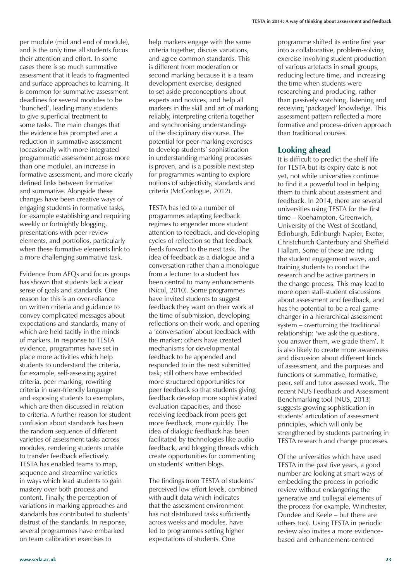per module (mid and end of module), and is the only time all students focus their attention and effort. In some cases there is so much summative assessment that it leads to fragmented and surface approaches to learning. It is common for summative assessment deadlines for several modules to be 'bunched', leading many students to give superficial treatment to some tasks. The main changes that the evidence has prompted are: a reduction in summative assessment (occasionally with more integrated programmatic assessment across more than one module), an increase in formative assessment, and more clearly defined links between formative and summative. Alongside these changes have been creative ways of engaging students in formative tasks, for example establishing and requiring weekly or fortnightly blogging, presentations with peer review elements, and portfolios, particularly when these formative elements link to a more challenging summative task.

Evidence from AEQs and focus groups has shown that students lack a clear sense of goals and standards. One reason for this is an over-reliance on written criteria and guidance to convey complicated messages about expectations and standards, many of which are held tacitly in the minds of markers. In response to TESTA evidence, programmes have set in place more activities which help students to understand the criteria, for example, self-assessing against criteria, peer marking, rewriting criteria in user-friendly language and exposing students to exemplars, which are then discussed in relation to criteria. A further reason for student confusion about standards has been the random sequence of different varieties of assessment tasks across modules, rendering students unable to transfer feedback effectively. TESTA has enabled teams to map, sequence and streamline varieties in ways which lead students to gain mastery over both process and content. Finally, the perception of variations in marking approaches and standards has contributed to students' distrust of the standards. In response, several programmes have embarked on team calibration exercises to

help markers engage with the same criteria together, discuss variations, and agree common standards. This is different from moderation or second marking because it is a team development exercise, designed to set aside preconceptions about experts and novices, and help all markers in the skill and art of marking reliably, interpreting criteria together and synchronising understandings of the disciplinary discourse. The potential for peer-marking exercises to develop students' sophistication in understanding marking processes is proven, and is a possible next step for programmes wanting to explore notions of subjectivity, standards and criteria (McConlogue, 2012).

TESTA has led to a number of programmes adapting feedback regimes to engender more student attention to feedback, and developing cycles of reflection so that feedback feeds forward to the next task. The idea of feedback as a dialogue and a conversation rather than a monologue from a lecturer to a student has been central to many enhancements (Nicol, 2010). Some programmes have invited students to suggest feedback they want on their work at the time of submission, developing reflections on their work, and opening a 'conversation' about feedback with the marker; others have created mechanisms for developmental feedback to be appended and responded to in the next submitted task; still others have embedded more structured opportunities for peer feedback so that students giving feedback develop more sophisticated evaluation capacities, and those receiving feedback from peers get more feedback, more quickly. The idea of dialogic feedback has been facilitated by technologies like audio feedback, and blogging threads which create opportunities for commenting on students' written blogs.

The findings from TESTA of students' perceived low effort levels, combined with audit data which indicates that the assessment environment has not distributed tasks sufficiently across weeks and modules, have led to programmes setting higher expectations of students. One

programme shifted its entire first year into a collaborative, problem-solving exercise involving student production of various artefacts in small groups, reducing lecture time, and increasing the time when students were researching and producing, rather than passively watching, listening and receiving 'packaged' knowledge. This assessment pattern reflected a more formative and process-driven approach than traditional courses.

### **Looking ahead**

It is difficult to predict the shelf life for TESTA but its expiry date is not yet, not while universities continue to find it a powerful tool in helping them to think about assessment and feedback. In 2014, there are several universities using TESTA for the first time – Roehampton, Greenwich, University of the West of Scotland, Edinburgh, Edinburgh Napier, Exeter, Christchurch Canterbury and Sheffield Hallam. Some of these are riding the student engagement wave, and training students to conduct the research and be active partners in the change process. This may lead to more open staff-student discussions about assessment and feedback, and has the potential to be a real gamechanger in a hierarchical assessment system – overturning the traditional relationship: 'we ask the questions, you answer them, we grade them'. It is also likely to create more awareness and discussion about different kinds of assessment, and the purposes and functions of summative, formative, peer, self and tutor assessed work. The recent NUS Feedback and Assessment Benchmarking tool (NUS, 2013) suggests growing sophistication in students' articulation of assessment principles, which will only be strengthened by students partnering in TESTA research and change processes.

Of the universities which have used TESTA in the past five years, a good number are looking at smart ways of embedding the process in periodic review without endangering the generative and collegial elements of the process (for example, Winchester, Dundee and Keele – but there are others too). Using TESTA in periodic review also invites a more evidencebased and enhancement-centred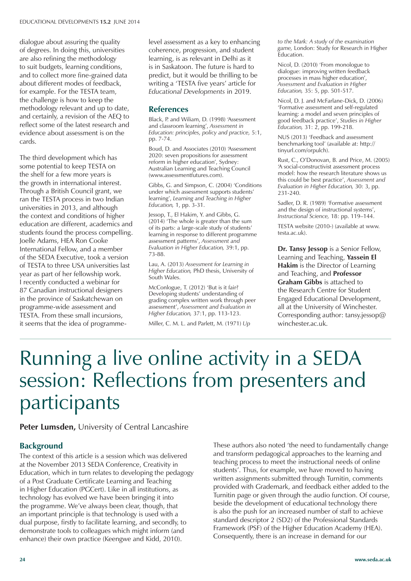dialogue about assuring the quality of degrees. In doing this, universities are also refining the methodology to suit budgets, learning conditions, and to collect more fine-grained data about different modes of feedback, for example. For the TESTA team, the challenge is how to keep the methodology relevant and up to date, and certainly, a revision of the AEQ to reflect some of the latest research and evidence about assessment is on the cards.

The third development which has some potential to keep TESTA on the shelf for a few more years is the growth in international interest. Through a British Council grant, we ran the TESTA process in two Indian universities in 2013, and although the context and conditions of higher education are different, academics and students found the process compelling. Joelle Adams, HEA Ron Cooke International Fellow, and a member of the SEDA Executive, took a version of TESTA to three USA universities last year as part of her fellowship work. I recently conducted a webinar for 87 Canadian instructional designers in the province of Saskatchewan on programme-wide assessment and TESTA. From these small incursions, it seems that the idea of programmelevel assessment as a key to enhancing coherence, progression, and student learning, is as relevant in Delhi as it is in Saskatoon. The future is hard to predict, but it would be thrilling to be writing a 'TESTA five years' article for *Educational Developments* in 2019.

### **References**

Black, P. and Wiliam, D. (1998) 'Assessment and classroom learning', *Assessment in Education: principles, policy and practice,* 5:1, pp. 7-74.

Boud, D. and Associates (2010) 'Assessment 2020: seven propositions for assessment reform in higher education', Sydney: Australian Learning and Teaching Council (www.assessmentfutures.com).

Gibbs, G. and Simpson, C. (2004) 'Conditions under which assessment supports students' learning', *Learning and Teaching in Higher Education,* 1, pp. 3-31.

Jessop, T., El Hakim, Y. and Gibbs, G. (2014) 'The whole is greater than the sum of its parts: a large-scale study of students' learning in response to different programme assessment patterns', *Assessment and Evaluation in Higher Education,* 39:1, pp. 73-88.

Lau, A. (2013) *Assessment for Learning in Higher Education,* PhD thesis, University of South Wales.

McConlogue, T. (2012) 'But is it fair? Developing students' understanding of grading complex written work through peer assessment', *Assessment and Evaluation in Higher Education,* 37:1, pp. 113-123.

Miller, C. M. L. and Parlett, M. (1971) *Up* 

*to the Mark: A study of the examination game,* London: Study for Research in Higher Education.

Nicol, D. (2010) 'From monologue to dialogue: improving written feedback processes in mass higher education', *Assessment and Evaluation in Higher Education,* 35: 5, pp. 501-517.

Nicol, D. J. and McFarlane-Dick, D. (2006) 'Formative assessment and self-regulated learning: a model and seven principles of good feedback practice', *Studies in Higher Education,* 31: 2, pp. 199-218.

NUS (2013) 'Feedback and assessment benchmarking tool' (available at: http:// tinyurl.com/orpulch).

Rust, C., O'Donovan, B. and Price, M. (2005) 'A social-constructivist assessment process model: how the research literature shows us this could be best practice', *Assessment and Evaluation in Higher Education,* 30: 3, pp. 231-240.

Sadler, D. R. (1989) 'Formative assessment and the design of instructional systems', *Instructional Science,* 18: pp. 119–144.

TESTA website (2010-) (available at www. testa.ac.uk).

**Dr. Tansy Jessop** is a Senior Fellow, Learning and Teaching, **Yassein El Hakim** is the Director of Learning and Teaching, and **Professor Graham Gibbs** is attached to the Research Centre for Student Engaged Educational Development, all at the University of Winchester. Corresponding author: tansy.jessop@ winchester.ac.uk.

# Running a live online activity in a SEDA session: Reflections from presenters and participants

### **Peter Lumsden,** University of Central Lancashire

### **Background**

The context of this article is a session which was delivered at the November 2013 SEDA Conference, Creativity in Education, which in turn relates to developing the pedagogy of a Post Graduate Certificate Learning and Teaching in Higher Education (PGCert). Like in all institutions, as technology has evolved we have been bringing it into the programme. We've always been clear, though, that an important principle is that technology is used with a dual purpose, firstly to facilitate learning, and secondly, to demonstrate tools to colleagues which might inform (and enhance) their own practice (Keengwe and Kidd, 2010).

These authors also noted 'the need to fundamentally change and transform pedagogical approaches to the learning and teaching process to meet the instructional needs of online students'. Thus, for example, we have moved to having written assignments submitted through Turnitin, comments provided with Grademark, and feedback either added to the Turnitin page or given through the audio function. Of course, beside the development of educational technology there is also the push for an increased number of staff to achieve standard descriptor 2 (SD2) of the Professional Standards Framework (PSF) of the Higher Education Academy (HEA). Consequently, there is an increase in demand for our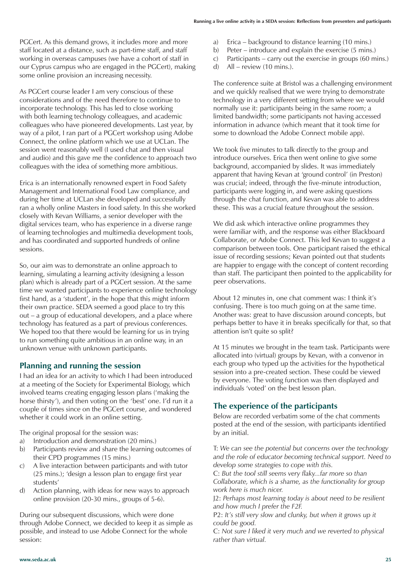PGCert. As this demand grows, it includes more and more staff located at a distance, such as part-time staff, and staff working in overseas campuses (we have a cohort of staff in our Cyprus campus who are engaged in the PGCert), making some online provision an increasing necessity.

As PGCert course leader I am very conscious of these considerations and of the need therefore to continue to incorporate technology. This has led to close working with both learning technology colleagues, and academic colleagues who have pioneered developments. Last year, by way of a pilot, I ran part of a PGCert workshop using Adobe Connect, the online platform which we use at UCLan. The session went reasonably well (I used chat and then visual and audio) and this gave me the confidence to approach two colleagues with the idea of something more ambitious.

Erica is an internationally renowned expert in Food Safety Management and International Food Law compliance, and during her time at UCLan she developed and successfully ran a wholly online Masters in food safety. In this she worked closely with Kevan Williams, a senior developer with the digital services team, who has experience in a diverse range of learning technologies and multimedia development tools, and has coordinated and supported hundreds of online sessions.

So, our aim was to demonstrate an online approach to learning, simulating a learning activity (designing a lesson plan) which is already part of a PGCert session. At the same time we wanted participants to experience online technology first hand, as a 'student', in the hope that this might inform their own practice. SEDA seemed a good place to try this out – a group of educational developers, and a place where technology has featured as a part of previous conferences. We hoped too that there would be learning for us in trying to run something quite ambitious in an online way, in an unknown venue with unknown participants.

### **Planning and running the session**

I had an idea for an activity to which I had been introduced at a meeting of the Society for Experimental Biology, which involved teams creating engaging lesson plans ('making the horse thirsty'), and then voting on the 'best' one. I'd run it a couple of times since on the PGCert course, and wondered whether it could work in an online setting.

The original proposal for the session was:

- a) Introduction and demonstration (20 mins.)
- b) Participants review and share the learning outcomes of their CPD programmes (15 mins.)
- c) A live interaction between participants and with tutor (25 mins.); 'design a lesson plan to engage first year students'
- d) Action planning, with ideas for new ways to approach online provision (20-30 mins., groups of 5-6).

During our subsequent discussions, which were done through Adobe Connect, we decided to keep it as simple as possible, and instead to use Adobe Connect for the whole session:

- a) Erica background to distance learning (10 mins.)
- b) Peter introduce and explain the exercise (5 mins.)
- c) Participants carry out the exercise in groups (60 mins.)
- d) All review (10 mins.).

The conference suite at Bristol was a challenging environment and we quickly realised that we were trying to demonstrate technology in a very different setting from where we would normally use it: participants being in the same room; a limited bandwidth; some participants not having accessed information in advance (which meant that it took time for some to download the Adobe Connect mobile app).

We took five minutes to talk directly to the group and introduce ourselves. Erica then went online to give some background, accompanied by slides. It was immediately apparent that having Kevan at 'ground control' (in Preston) was crucial; indeed, through the five-minute introduction, participants were logging in, and were asking questions through the chat function, and Kevan was able to address these. This was a crucial feature throughout the session.

We did ask which interactive online programmes they were familiar with, and the response was either Blackboard Collaborate, or Adobe Connect. This led Kevan to suggest a comparison between tools. One participant raised the ethical issue of recording sessions; Kevan pointed out that students are happier to engage with the concept of content recording than staff. The participant then pointed to the applicability for peer observations.

About 12 minutes in, one chat comment was: I think it's confusing. There is too much going on at the same time. Another was: great to have discussion around concepts, but perhaps better to have it in breaks specifically for that, so that attention isn't quite so split?

At 15 minutes we brought in the team task. Participants were allocated into (virtual) groups by Kevan, with a convenor in each group who typed up the activities for the hypothetical session into a pre-created section. These could be viewed by everyone. The voting function was then displayed and individuals 'voted' on the best lesson plan.

## **The experience of the participants**

Below are recorded verbatim some of the chat comments posted at the end of the session, with participants identified by an initial.

T: *We can see the potential but concerns over the technology and the role of educator becoming technical support. Need to develop some strategies to cope with this.*

C: *But the tool still seems very flaky...far more so than Collaborate, which is a shame, as the functionality for group work here is much nicer.*

J2: *Perhaps most learning today is about need to be resilient and how much I prefer the F2F.*

P2: *It's still very slow and clunky, but when it grows up it could be good.*

C: *Not sure I liked it very much and we reverted to physical rather than virtual.*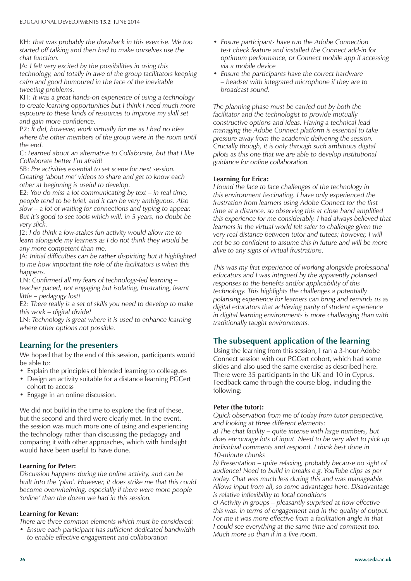KH: *that was probably the drawback in this exercise. We too started off talking and then had to make ourselves use the chat function.*

JA: *I felt very excited by the possibilities in using this technology, and totally in awe of the group facilitators keeping calm and good humoured in the face of the inevitable tweeting problems.*

KH: *It was a great hands-on experience of using a technology to create learning opportunities but I think I need much more exposure to these kinds of resources to improve my skill set and gain more confidence.*

P2: *It did, however, work virtually for me as I had no idea where the other members of the group were in the room until the end.*

C: *Learned about an alternative to Collaborate, but that I like Collaborate better I'm afraid!*

SB: *Pre activities essential to set scene for next session. Creating 'about me' videos to share and get to know each other at beginning is useful to develop.*

E2: *You do miss a lot communicating by text – in real time, people tend to be brief, and it can be very ambiguous. Also slow – a lot of waiting for connections and typing to appear. But it's good to see tools which will, in 5 years, no doubt be very slick.*

J2: *I do think a low-stakes fun activity would allow me to learn alongside my learners as I do not think they would be any more competent than me.*

JA: *Initial difficulties can be rather dispiriting but it highlighted to me how important the role of the facilitators is when this happens.*

LN: *Confirmed all my fears of technology-led learning – teacher paced, not engaging but isolating, frustrating, learnt little – pedagogy lost!*

E2: *There really is a set of skills you need to develop to make this work – digital divide!*

LN: *Technology is great where it is used to enhance learning where other options not possible.*

### **Learning for the presenters**

We hoped that by the end of this session, participants would be able to:

- Explain the principles of blended learning to colleagues
- Design an activity suitable for a distance learning PGCert cohort to access
- Engage in an online discussion.

We did not build in the time to explore the first of these, but the second and third were clearly met. In the event, the session was much more one of using and experiencing the technology rather than discussing the pedagogy and comparing it with other approaches, which with hindsight would have been useful to have done.

### **Learning for Peter:**

*Discussion happens during the online activity, and can be built into the 'plan'. However, it does strike me that this could become overwhelming, especially if there were more people 'online' than the dozen we had in this session.* 

### **Learning for Kevan:**

*There are three common elements which must be considered:*

*• Ensure each participant has sufficient dedicated bandwidth to enable effective engagement and collaboration*

- *• Ensure participants have run the Adobe Connection test check feature and installed the Connect add-in for optimum performance, or Connect mobile app if accessing via a mobile device*
- *• Ensure the participants have the correct hardware – headset with integrated microphone if they are to broadcast sound.*

*The planning phase must be carried out by both the facilitator and the technologist to provide mutually constructive options and ideas. Having a technical lead managing the Adobe Connect platform is essential to take pressure away from the academic delivering the session. Crucially though, it is only through such ambitious digital pilots as this one that we are able to develop institutional guidance for online collaboration.*

### **Learning for Erica:**

*I found the face to face challenges of the technology in this environment fascinating. I have only experienced the frustration from learners using Adobe Connect for the first time at a distance, so observing this at close hand amplified this experience for me considerably. I had always believed that learners in the virtual world felt safer to challenge given the very real distance between tutor and tutees; however, I will not be so confident to assume this in future and will be more alive to any signs of virtual frustrations.*

*This was my first experience of working alongside professional educators and I was intrigued by the apparently polarised responses to the benefits and/or applicability of this technology. This highlights the challenges a potentially polarising experience for learners can bring and reminds us as digital educators that achieving parity of student experience in digital learning environments is more challenging than with traditionally taught environments.*

### **The subsequent application of the learning**

Using the learning from this session, I ran a 3-hour Adobe Connect session with our PGCert cohort, which had some slides and also used the same exercise as described here. There were 35 participants in the UK and 10 in Cyprus. Feedback came through the course blog, including the following:

### **Peter (the tutor):**

*Quick observation from me of today from tutor perspective, and looking at three different elements:*

*a) The chat facility – quite intense with large numbers, but does encourage lots of input. Need to be very alert to pick up individual comments and respond. I think best done in 10-minute chunks*

*b) Presentation – quite relaxing, probably because no sight of audience! Need to build in breaks e.g. YouTube clips as per today. Chat was much less during this and was manageable. Allows input from all, so some advantages here. Disadvantage is relative inflexibility to local conditions*

*c) Activity in groups – pleasantly surprised at how effective this was, in terms of engagement and in the quality of output. For me it was more effective from a facilitation angle in that I could see everything at the same time and comment too. Much more so than if in a live room.*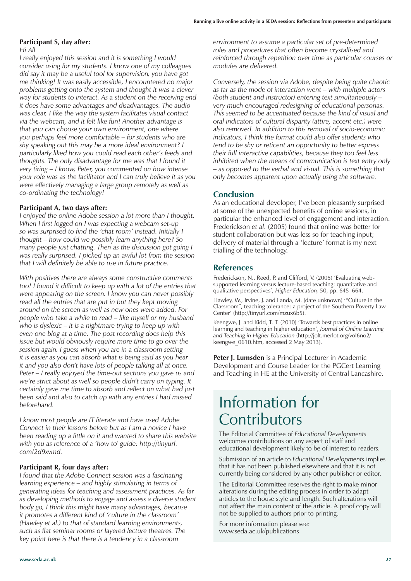#### **Participant S, day after:**

*Hi All*

*I really enjoyed this session and it is something I would consider using for my students. I know one of my colleagues did say it may be a useful tool for supervision, you have got me thinking! It was easily accessible, I encountered no major problems getting onto the system and thought it was a clever way for students to interact. As a student on the receiving end it does have some advantages and disadvantages. The audio was clear, I like the way the system facilitates visual contact via the webcam, and it felt like fun! Another advantage is that you can choose your own environment, one where you perhaps feel more comfortable – for students who are shy speaking out this may be a more ideal environment? I particularly liked how you could read each other's feeds and thoughts. The only disadvantage for me was that I found it very tiring – I know, Peter, you commented on how intense your role was as the facilitator and I can truly believe it as you were effectively managing a large group remotely as well as co-ordinating the technology!* 

#### **Participant A, two days after:**

*I enjoyed the online Adobe session a lot more than I thought. When I first logged on I was expecting a webcam set-up so was surprised to find the 'chat room' instead. Initially I thought – how could we possibly learn anything here? So many people just chatting. Then as the discussion got going I was really surprised. I picked up an awful lot from the session that I will definitely be able to use in future practice.*

*With positives there are always some constructive comments too! I found it difficult to keep up with a lot of the entries that were appearing on the screen. I know you can never possibly read all the entries that are put in but they kept moving around on the screen as well as new ones were added. For people who take a while to read – like myself or my husband who is dyslexic – it is a nightmare trying to keep up with even one blog at a time. The post recording does help this issue but would obviously require more time to go over the session again. I guess when you are in a classroom setting it is easier as you can absorb what is being said as you hear it and you also don't have lots of people talking all at once. Peter – I really enjoyed the time-out sections you gave us and we're strict about as well so people didn't carry on typing. It certainly gave me time to absorb and reflect on what had just been said and also to catch up with any entries I had missed beforehand.*

*I know most people are IT literate and have used Adobe Connect in their lessons before but as I am a novice I have been reading up a little on it and wanted to share this website with you as reference of a 'how to' guide: http://tinyurl. com/2d9xvmd.*

#### **Participant R, four days after:**

*I found that the Adobe Connect session was a fascinating learning experience – and highly stimulating in terms of generating ideas for teaching and assessment practices. As far as developing methods to engage and assess a diverse student body go, I think this might have many advantages, because it promotes a different kind of 'culture in the classroom' (Hawley et al.) to that of standard learning environments, such as flat seminar rooms or layered lecture theatres. The key point here is that there is a tendency in a classroom* 

*environment to assume a particular set of pre-determined roles and procedures that often become crystallised and reinforced through repetition over time as particular courses or modules are delivered.* 

*Conversely, the session via Adobe, despite being quite chaotic as far as the mode of interaction went – with multiple actors (both student and instructor) entering text simultaneously – very much encouraged redesigning of educational personas. This seemed to be accentuated because the kind of visual and oral indicators of cultural disparity (attire, accent etc.) were also removed. In addition to this removal of socio-economic indicators, I think the format could also offer students who tend to be shy or reticent an opportunity to better express their full interactive capabilities, because they too feel less inhibited when the means of communication is text entry only – as opposed to the verbal and visual. This is something that only becomes apparent upon actually using the software.*

### **Conclusion**

As an educational developer, I've been pleasantly surprised at some of the unexpected benefits of online sessions, in particular the enhanced level of engagement and interaction. Frederickson *et al.* (2005) found that online was better for student collaboration but was less so for teaching input; delivery of material through a 'lecture' format is my next trialling of the technology.

### **References**

Frederickson, N., Reed, P. and Clifford, V. (2005) 'Evaluating websupported learning versus lecture-based teaching: quantitative and qualitative perspectives', *Higher Education,* 50, pp. 645–664.

Hawley, W., Irvine, J. and Landa, M. (date unknown) '"Culture in the Classroom", teaching tolerance: a project of the Southern Poverty Law Center' (http://tinyurl.com/mzux6b5).

Keengwe, J. and Kidd, T. T. (2010) 'Towards best practices in online learning and teaching in higher education', *Journal of Online Learning and Teaching in Higher Education* (http://jolt.merlot.org/vol6no2/ keengwe\_0610.htm, accessed 2 May 2013).

**Peter J. Lumsden** is a Principal Lecturer in Academic Development and Course Leader for the PGCert Learning and Teaching in HE at the University of Central Lancashire.

# Information for **Contributors**

The Editorial Committee of *Educational Developments*  welcomes contributions on any aspect of staff and educational development likely to be of interest to readers.

Submission of an article to *Educational Developments* implies that it has not been published elsewhere and that it is not currently being considered by any other publisher or editor.

The Editorial Committee reserves the right to make minor alterations during the editing process in order to adapt articles to the house style and length. Such alterations will not affect the main content of the article. A proof copy will not be supplied to authors prior to printing.

For more information please see: www.seda.ac.uk/publications